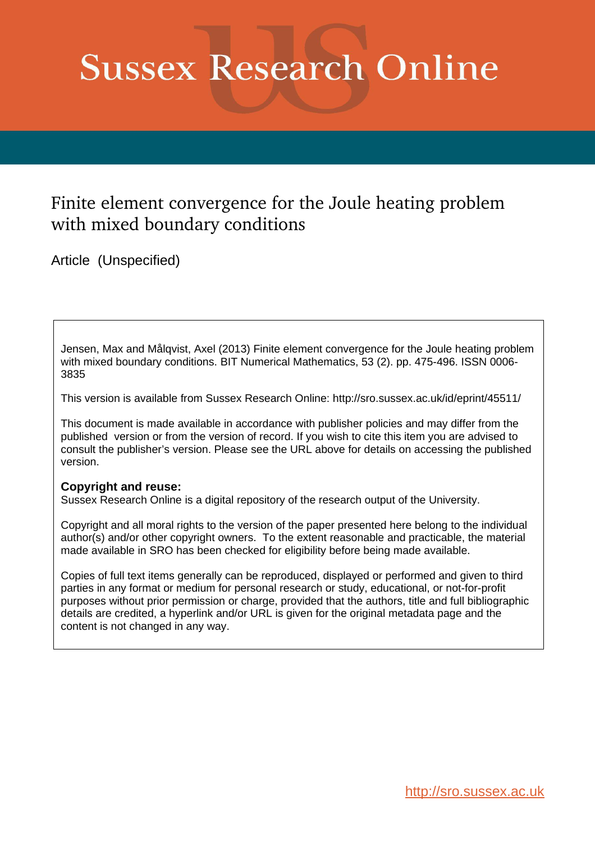# **Sussex Research Online**

# Finite element convergence for the Joule heating problem with mixed boundary conditions

Article (Unspecified)

Jensen, Max and Målqvist, Axel (2013) Finite element convergence for the Joule heating problem with mixed boundary conditions. BIT Numerical Mathematics, 53 (2). pp. 475-496. ISSN 0006- 3835

This version is available from Sussex Research Online: http://sro.sussex.ac.uk/id/eprint/45511/

This document is made available in accordance with publisher policies and may differ from the published version or from the version of record. If you wish to cite this item you are advised to consult the publisher's version. Please see the URL above for details on accessing the published version.

### **Copyright and reuse:**

Sussex Research Online is a digital repository of the research output of the University.

Copyright and all moral rights to the version of the paper presented here belong to the individual author(s) and/or other copyright owners. To the extent reasonable and practicable, the material made available in SRO has been checked for eligibility before being made available.

Copies of full text items generally can be reproduced, displayed or performed and given to third parties in any format or medium for personal research or study, educational, or not-for-profit purposes without prior permission or charge, provided that the authors, title and full bibliographic details are credited, a hyperlink and/or URL is given for the original metadata page and the content is not changed in any way.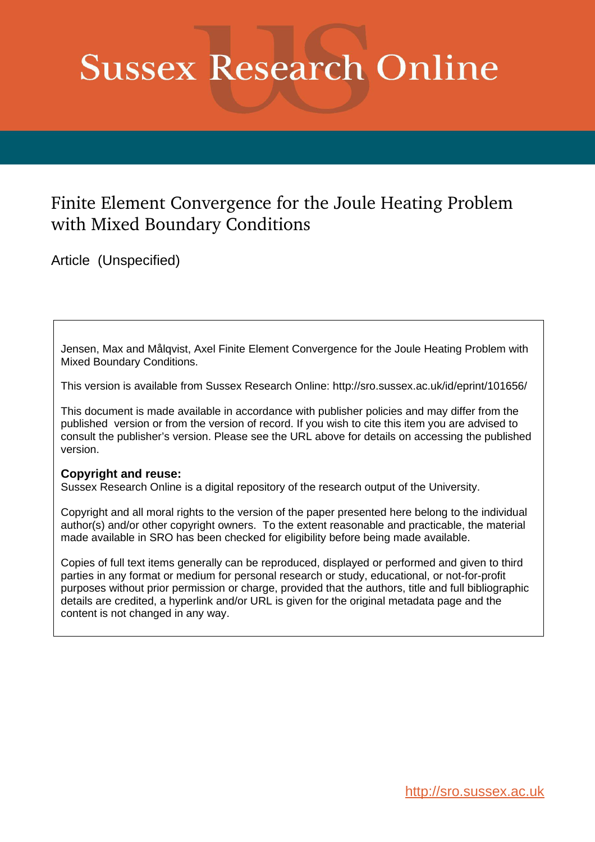# **Sussex Research Online**

# Finite Element Convergence for the Joule Heating Problem with Mixed Boundary Conditions

Article (Unspecified)

Jensen, Max and Målqvist, Axel Finite Element Convergence for the Joule Heating Problem with Mixed Boundary Conditions.

This version is available from Sussex Research Online: http://sro.sussex.ac.uk/id/eprint/101656/

This document is made available in accordance with publisher policies and may differ from the published version or from the version of record. If you wish to cite this item you are advised to consult the publisher's version. Please see the URL above for details on accessing the published version.

### **Copyright and reuse:**

Sussex Research Online is a digital repository of the research output of the University.

Copyright and all moral rights to the version of the paper presented here belong to the individual author(s) and/or other copyright owners. To the extent reasonable and practicable, the material made available in SRO has been checked for eligibility before being made available.

Copies of full text items generally can be reproduced, displayed or performed and given to third parties in any format or medium for personal research or study, educational, or not-for-profit purposes without prior permission or charge, provided that the authors, title and full bibliographic details are credited, a hyperlink and/or URL is given for the original metadata page and the content is not changed in any way.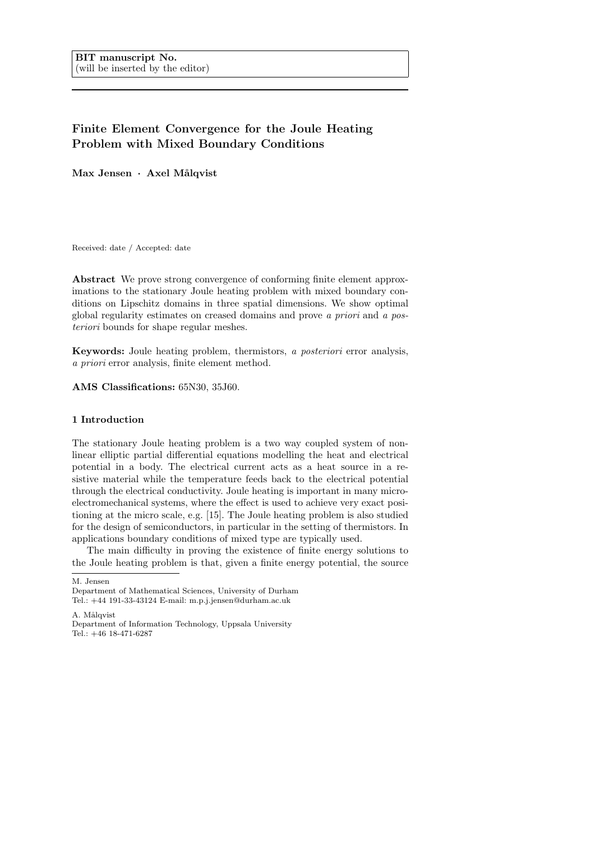## Finite Element Convergence for the Joule Heating Problem with Mixed Boundary Conditions

Max Jensen · Axel Målqvist

Received: date / Accepted: date

Abstract We prove strong convergence of conforming finite element approximations to the stationary Joule heating problem with mixed boundary conditions on Lipschitz domains in three spatial dimensions. We show optimal global regularity estimates on creased domains and prove a priori and a posteriori bounds for shape regular meshes.

Keywords: Joule heating problem, thermistors, a posteriori error analysis, a priori error analysis, finite element method.

AMS Classifications: 65N30, 35J60.

#### 1 Introduction

The stationary Joule heating problem is a two way coupled system of nonlinear elliptic partial differential equations modelling the heat and electrical potential in a body. The electrical current acts as a heat source in a resistive material while the temperature feeds back to the electrical potential through the electrical conductivity. Joule heating is important in many microelectromechanical systems, where the effect is used to achieve very exact positioning at the micro scale, e.g. [15]. The Joule heating problem is also studied for the design of semiconductors, in particular in the setting of thermistors. In applications boundary conditions of mixed type are typically used.

The main difficulty in proving the existence of finite energy solutions to the Joule heating problem is that, given a finite energy potential, the source

M. Jensen

A. Målqvist

Department of Mathematical Sciences, University of Durham Tel.: +44 191-33-43124 E-mail: m.p.j.jensen@durham.ac.uk

Department of Information Technology, Uppsala University Tel.: +46 18-471-6287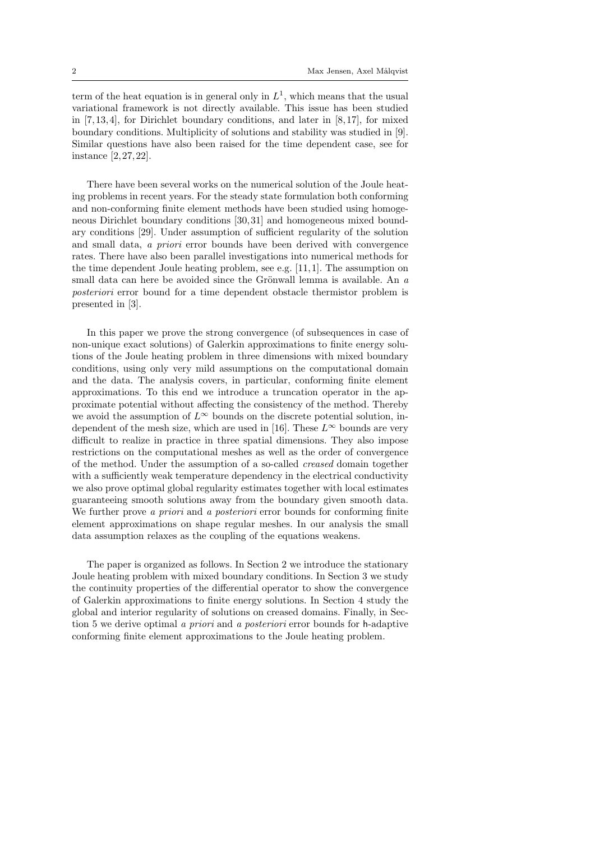term of the heat equation is in general only in  $L^1$ , which means that the usual variational framework is not directly available. This issue has been studied in [7,13, 4], for Dirichlet boundary conditions, and later in [8, 17], for mixed boundary conditions. Multiplicity of solutions and stability was studied in [9]. Similar questions have also been raised for the time dependent case, see for instance [2, 27, 22].

There have been several works on the numerical solution of the Joule heating problems in recent years. For the steady state formulation both conforming and non-conforming finite element methods have been studied using homogeneous Dirichlet boundary conditions [30, 31] and homogeneous mixed boundary conditions [29]. Under assumption of sufficient regularity of the solution and small data, a priori error bounds have been derived with convergence rates. There have also been parallel investigations into numerical methods for the time dependent Joule heating problem, see e.g. [11, 1]. The assumption on small data can here be avoided since the Grönwall lemma is available. An  $a$ posteriori error bound for a time dependent obstacle thermistor problem is presented in [3].

In this paper we prove the strong convergence (of subsequences in case of non-unique exact solutions) of Galerkin approximations to finite energy solutions of the Joule heating problem in three dimensions with mixed boundary conditions, using only very mild assumptions on the computational domain and the data. The analysis covers, in particular, conforming finite element approximations. To this end we introduce a truncation operator in the approximate potential without affecting the consistency of the method. Thereby we avoid the assumption of  $L^{\infty}$  bounds on the discrete potential solution, independent of the mesh size, which are used in [16]. These  $L^{\infty}$  bounds are very difficult to realize in practice in three spatial dimensions. They also impose restrictions on the computational meshes as well as the order of convergence of the method. Under the assumption of a so-called creased domain together with a sufficiently weak temperature dependency in the electrical conductivity we also prove optimal global regularity estimates together with local estimates guaranteeing smooth solutions away from the boundary given smooth data. We further prove a priori and a posteriori error bounds for conforming finite element approximations on shape regular meshes. In our analysis the small data assumption relaxes as the coupling of the equations weakens.

The paper is organized as follows. In Section 2 we introduce the stationary Joule heating problem with mixed boundary conditions. In Section 3 we study the continuity properties of the differential operator to show the convergence of Galerkin approximations to finite energy solutions. In Section 4 study the global and interior regularity of solutions on creased domains. Finally, in Section 5 we derive optimal a priori and a posteriori error bounds for h-adaptive conforming finite element approximations to the Joule heating problem.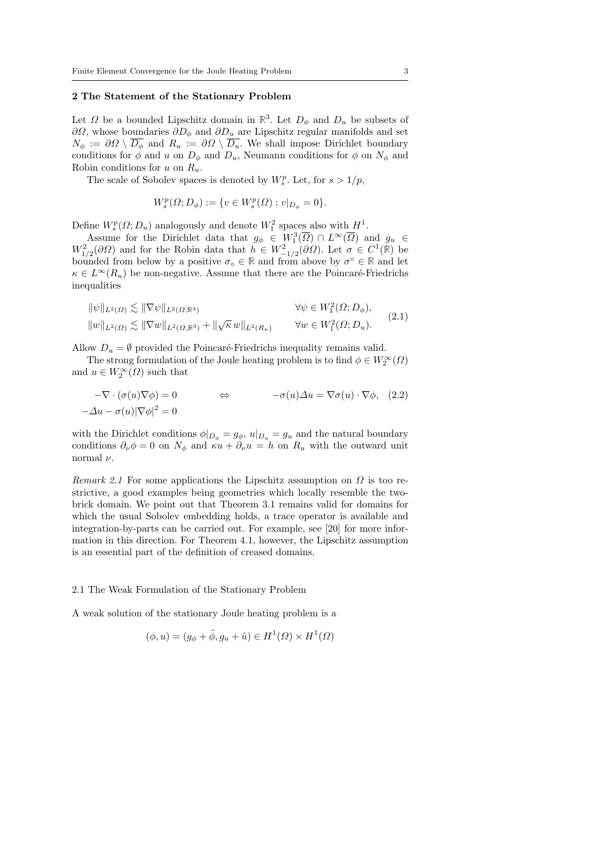#### 2 The Statement of the Stationary Problem

Let  $\Omega$  be a bounded Lipschitz domain in  $\mathbb{R}^3$ . Let  $D_{\phi}$  and  $D_u$  be subsets of  $\partial\Omega$ , whose boundaries  $\partial D_{\phi}$  and  $\partial D_{u}$  are Lipschitz regular manifolds and set  $N_{\phi} := \partial \Omega \setminus \overline{D_{\phi}}$  and  $R_u := \partial \Omega \setminus \overline{D_u}$ . We shall impose Dirichlet boundary conditions for  $\phi$  and u on  $D_{\phi}$  and  $D_{u}$ , Neumann conditions for  $\phi$  on  $N_{\phi}$  and Robin conditions for u on  $R_u$ .

The scale of Sobolev spaces is denoted by  $W_s^p$ . Let, for  $s > 1/p$ ,

$$
W_s^p(\Omega; D_{\phi}) := \{ v \in W_s^p(\Omega) : v|_{D_{\phi}} = 0 \}.
$$

Define  $W_s^p(\Omega; D_u)$  analogously and denote  $W_1^2$  spaces also with  $H^1$ .

Assume for the Dirichlet data that  $g_{\phi} \in W_1^3(\overline{\Omega}) \cap L^{\infty}(\overline{\Omega})$  and  $g_u \in$  $W_{1/2}^2(\partial\Omega)$  and for the Robin data that  $h \in W_{-1/2}^2(\partial\Omega)$ . Let  $\sigma \in C^1(\mathbb{R})$  be bounded from below by a positive  $\sigma_{\circ} \in \mathbb{R}$  and from above by  $\sigma^{\circ} \in \mathbb{R}$  and let  $\kappa \in L^{\infty}(R_u)$  be non-negative. Assume that there are the Poincaré-Friedrichs inequalities

$$
\begin{aligned}\n\|\psi\|_{L^2(\Omega)} &\lesssim \|\nabla\psi\|_{L^2(\Omega,\mathbb{R}^3)} & \forall \psi \in W_1^2(\Omega; D_\phi), \\
\|w\|_{L^2(\Omega)} &\lesssim \|\nabla w\|_{L^2(\Omega,\mathbb{R}^3)} + \|\sqrt{\kappa} \, w\|_{L^2(R_u)} & \forall w \in W_1^2(\Omega; D_u).\n\end{aligned} \tag{2.1}
$$

Allow  $D_u = \emptyset$  provided the Poincaré-Friedrichs inequality remains valid.

The strong formulation of the Joule heating problem is to find  $\phi \in W_2^{\infty}(\Omega)$ and  $u \in W_2^{\infty}(\Omega)$  such that

$$
-\nabla \cdot (\sigma(u)\nabla \phi) = 0 \qquad \Leftrightarrow \qquad -\sigma(u)\Delta u = \nabla \sigma(u) \cdot \nabla \phi, \quad (2.2)
$$

$$
-\Delta u - \sigma(u)|\nabla \phi|^2 = 0
$$

with the Dirichlet conditions  $\phi|_{D_{\phi}} = g_{\phi}, u|_{D_{u}} = g_{u}$  and the natural boundary conditions  $\partial_{\nu}\phi = 0$  on  $N_{\phi}$  and  $\kappa u + \partial_{\nu}u = h$  on  $R_u$  with the outward unit normal  $\nu$ .

Remark 2.1 For some applications the Lipschitz assumption on  $\Omega$  is too restrictive, a good examples being geometries which locally resemble the twobrick domain. We point out that Theorem 3.1 remains valid for domains for which the usual Sobolev embedding holds, a trace operator is available and integration-by-parts can be carried out. For example, see [20] for more information in this direction. For Theorem 4.1, however, the Lipschitz assumption is an essential part of the definition of creased domains.

#### 2.1 The Weak Formulation of the Stationary Problem

A weak solution of the stationary Joule heating problem is a

$$
(\phi, u) = (g_{\phi} + \tilde{\phi}, g_u + \tilde{u}) \in H^1(\Omega) \times H^1(\Omega)
$$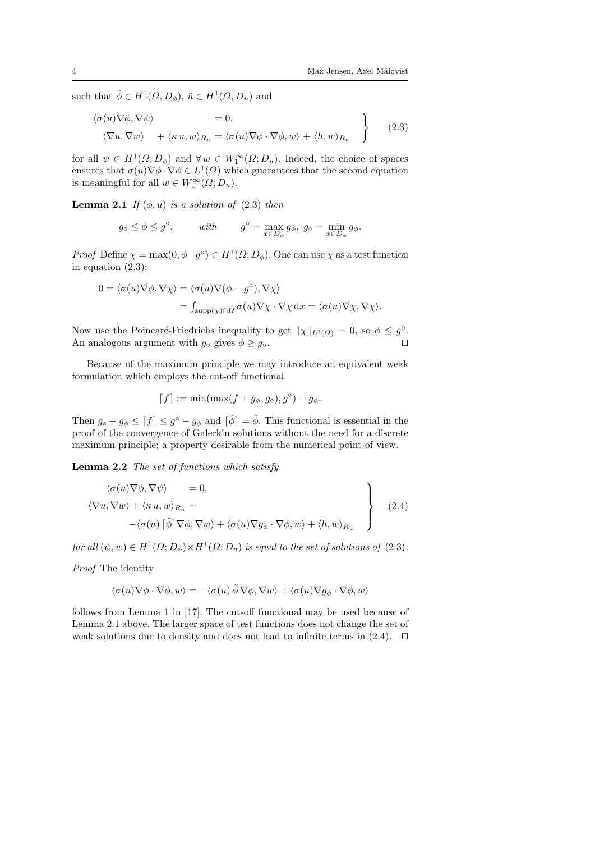such that  $\tilde{\phi} \in H^1(\Omega, D_\phi)$ ,  $\tilde{u} \in H^1(\Omega, D_u)$  and

$$
\langle \sigma(u)\nabla\phi, \nabla\psi \rangle = 0, \n\langle \nabla u, \nabla w \rangle + \langle \kappa u, w \rangle_{R_u} = \langle \sigma(u)\nabla\phi \cdot \nabla\phi, w \rangle + \langle h, w \rangle_{R_u}
$$
\n(2.3)

for all  $\psi \in H^1(\Omega; D_\phi)$  and  $\forall w \in W_1^{\infty}(\Omega; D_u)$ . Indeed, the choice of spaces ensures that  $\sigma(u)\nabla\phi\cdot\nabla\phi\in L^1(\Omega)$  which guarantees that the second equation is meaningful for all  $w \in W_1^{\infty}(\Omega; D_u)$ .

**Lemma 2.1** If  $(\phi, u)$  is a solution of  $(2.3)$  then

$$
g_{\circ} \le \phi \le g^{\circ}
$$
, with  $g^{\circ} = \max_{x \in D_{\phi}} g_{\phi}$ ,  $g_{\circ} = \min_{x \in D_{\phi}} g_{\phi}$ .

*Proof* Define  $\chi = \max(0, \phi - g^{\circ}) \in H^1(\Omega; D_{\phi})$ . One can use  $\chi$  as a test function in equation (2.3):

$$
0 = \langle \sigma(u)\nabla\phi, \nabla\chi \rangle = \langle \sigma(u)\nabla(\phi - g^{\circ}), \nabla\chi \rangle
$$
  
= 
$$
\int_{\text{supp}(\chi)\cap\Omega} \sigma(u)\nabla\chi \cdot \nabla\chi \,dx = \langle \sigma(u)\nabla\chi, \nabla\chi \rangle.
$$

Now use the Poincaré-Friedrichs inequality to get  $\|\chi\|_{L^2(\Omega)} = 0$ , so  $\phi \leq g^0$ . An analogous argument with  $g_{\circ}$  gives  $\phi \geq g_{\circ}$ .

Because of the maximum principle we may introduce an equivalent weak formulation which employs the cut-off functional

$$
\lceil f \rceil := \min(\max(f + g_{\phi}, g_{\circ}), g^{\circ}) - g_{\phi}.
$$

Then  $g_{\circ} - g_{\phi} \leq [f] \leq g^{\circ} - g_{\phi}$  and  $[\tilde{\phi}] = \tilde{\phi}$ . This functional is essential in the proof of the convergence of Galerkin solutions without the need for a discrete maximum principle; a property desirable from the numerical point of view.

Lemma 2.2 The set of functions which satisfy

$$
\langle \sigma(u)\nabla\phi, \nabla\psi \rangle = 0,
$$
  

$$
\langle \nabla u, \nabla w \rangle + \langle \kappa u, w \rangle_{R_u} =
$$
  

$$
-\langle \sigma(u) | \tilde{\phi} | \nabla \phi, \nabla w \rangle + \langle \sigma(u) \nabla g_{\phi} \cdot \nabla \phi, w \rangle + \langle h, w \rangle_{R_u}
$$
 (2.4)

for all  $(\psi, w) \in H^1(\Omega; D_\phi) \times H^1(\Omega; D_u)$  is equal to the set of solutions of  $(2.3)$ .

Proof The identity

$$
\langle \sigma(u)\nabla\phi\cdot\nabla\phi, w\rangle = -\langle \sigma(u)\tilde{\phi}\nabla\phi, \nabla w\rangle + \langle \sigma(u)\nabla g_{\phi}\cdot\nabla\phi, w\rangle
$$

follows from Lemma 1 in [17]. The cut-off functional may be used because of Lemma 2.1 above. The larger space of test functions does not change the set of weak solutions due to density and does not lead to infinite terms in  $(2.4)$ .  $\Box$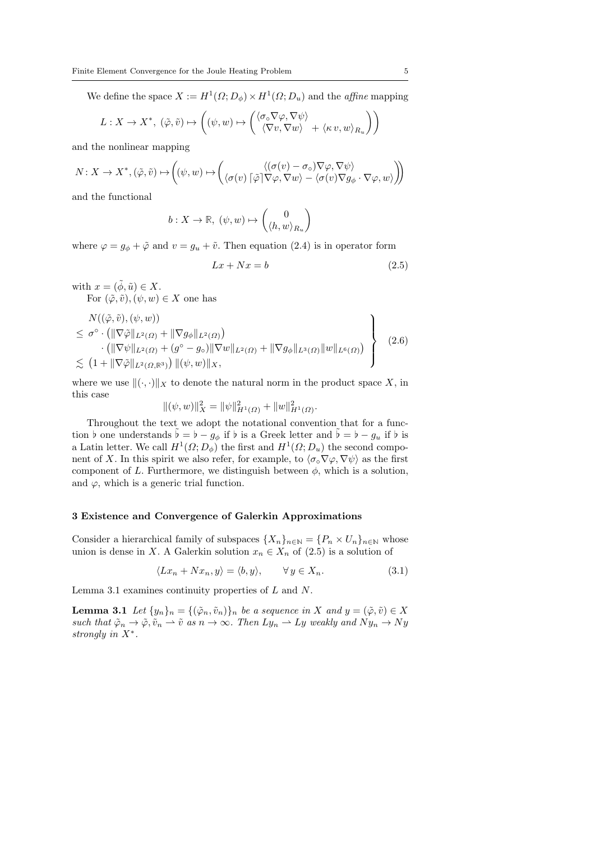We define the space  $X := H^1(\Omega; D_\phi) \times H^1(\Omega; D_u)$  and the *affine* mapping

$$
L: X \to X^*, \ (\tilde{\varphi}, \tilde{v}) \mapsto \left( (\psi, w) \mapsto \begin{pmatrix} \langle \sigma \circ \nabla \varphi, \nabla \psi \rangle \\ \langle \nabla v, \nabla w \rangle + \langle \kappa v, w \rangle_{R_u} \end{pmatrix} \right)
$$

and the nonlinear mapping

$$
N\colon X\to X^*, (\tilde{\varphi}, \tilde{v})\mapsto \left((\psi,w)\mapsto \left(\begin{smallmatrix}\langle (\sigma(v)-\sigma_\circ)\nabla\varphi, \nabla\psi\rangle \\ \langle \sigma(v)\lceil\tilde{\varphi}\rceil\nabla\varphi, \nabla w\rangle - \langle \sigma(v)\nabla g_\phi\cdot\nabla\varphi, w\rangle \end{smallmatrix}\right)\right)
$$

and the functional

$$
b: X \to \mathbb{R}, \ (\psi, w) \mapsto \begin{pmatrix} 0 \\ \langle h, w \rangle_{R_u} \end{pmatrix}
$$

where  $\varphi = g_{\phi} + \tilde{\varphi}$  and  $v = g_u + \tilde{v}$ . Then equation (2.4) is in operator form

$$
Lx + Nx = b \tag{2.5}
$$

with  $x = (\tilde{\phi}, \tilde{u}) \in X$ .

For  $(\tilde{\varphi}, \tilde{v}), (\psi, w) \in X$  one has

$$
\begin{aligned}\n& N((\tilde{\varphi}, \tilde{v}), (\psi, w)) \\
&\leq \sigma^{\circ} \cdot \left( \|\nabla \tilde{\varphi}\|_{L^{2}(\Omega)} + \|\nabla g_{\phi}\|_{L^{2}(\Omega)} \right) \\
&\quad \cdot \left( \|\nabla \psi\|_{L^{2}(\Omega)} + (g^{\circ} - g_{\circ}) \|\nabla w\|_{L^{2}(\Omega)} + \|\nabla g_{\phi}\|_{L^{3}(\Omega)} \|w\|_{L^{6}(\Omega)} \right) \\
&\lesssim \left( 1 + \|\nabla \tilde{\varphi}\|_{L^{2}(\Omega, \mathbb{R}^{3})} \right) \|(\psi, w)\|_{X},\n\end{aligned} \tag{2.6}
$$

where we use  $\|(\cdot, \cdot)\|_X$  to denote the natural norm in the product space X, in this case

$$
\|(\psi, w)\|_X^2 = \|\psi\|_{H^1(\Omega)}^2 + \|w\|_{H^1(\Omega)}^2.
$$

Throughout the text we adopt the notational convention that for a function  $\flat$  one understands  $\flat = \flat - g_\phi$  if  $\flat$  is a Greek letter and  $\flat = \flat - g_u$  if  $\flat$  is a Latin letter. We call  $H^1(\Omega; D_\phi)$  the first and  $H^1(\Omega; D_u)$  the second component of X. In this spirit we also refer, for example, to  $\langle \sigma_{\circ} \nabla \varphi, \nabla \psi \rangle$  as the first component of L. Furthermore, we distinguish between  $\phi$ , which is a solution, and  $\varphi$ , which is a generic trial function.

#### 3 Existence and Convergence of Galerkin Approximations

Consider a hierarchical family of subspaces  $\{X_n\}_{n\in\mathbb{N}} = \{P_n \times U_n\}_{n\in\mathbb{N}}$  whose union is dense in X. A Galerkin solution  $x_n \in X_n$  of  $(2.5)$  is a solution of

$$
\langle Lx_n + Nx_n, y \rangle = \langle b, y \rangle, \qquad \forall y \in X_n. \tag{3.1}
$$

Lemma 3.1 examines continuity properties of  $L$  and  $N$ .

**Lemma 3.1** Let  $\{y_n\}_n = \{(\tilde{\varphi}_n, \tilde{v}_n)\}_n$  be a sequence in X and  $y = (\tilde{\varphi}, \tilde{v}) \in X$ such that  $\tilde{\varphi}_n \to \tilde{\varphi}, \tilde{v}_n \to \tilde{v}$  as  $n \to \infty$ . Then  $Ly_n \to Ly$  weakly and  $Ny_n \to Ny$ strongly in  $X^*$ .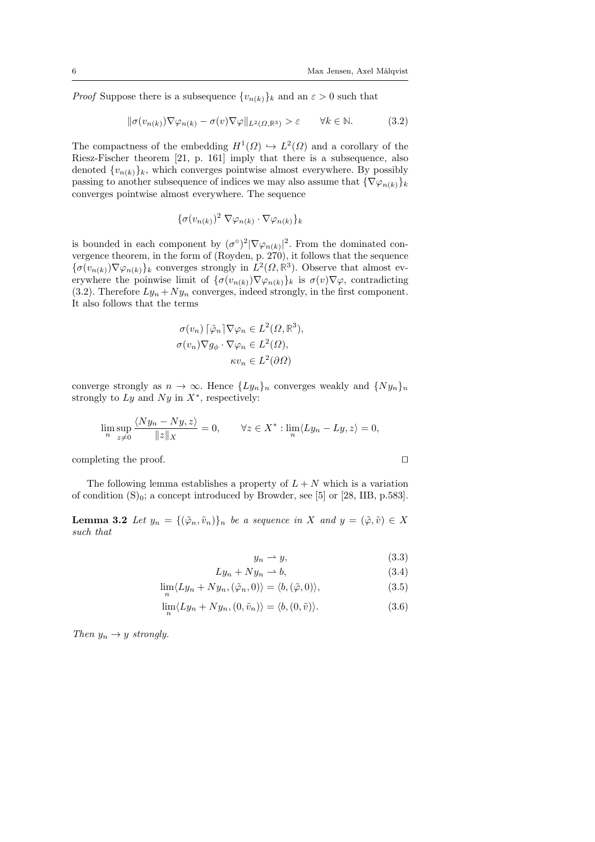*Proof* Suppose there is a subsequence  $\{v_{n(k)}\}_k$  and an  $\varepsilon > 0$  such that

$$
\|\sigma(v_{n(k)})\nabla\varphi_{n(k)} - \sigma(v)\nabla\varphi\|_{L^2(\Omega,\mathbb{R}^3)} > \varepsilon \qquad \forall k \in \mathbb{N}.\tag{3.2}
$$

The compactness of the embedding  $H^1(\Omega) \hookrightarrow L^2(\Omega)$  and a corollary of the Riesz-Fischer theorem [21, p. 161] imply that there is a subsequence, also denoted  $\{v_{n(k)}\}_k$ , which converges pointwise almost everywhere. By possibly passing to another subsequence of indices we may also assume that  ${\nabla \varphi_{n(k)}\}_k$ converges pointwise almost everywhere. The sequence

$$
\{\sigma(v_{n(k)})^2 \nabla \varphi_{n(k)} \cdot \nabla \varphi_{n(k)}\}_k
$$

is bounded in each component by  $(\sigma^{\circ})^2 |\nabla \varphi_{n(k)}|^2$ . From the dominated convergence theorem, in the form of (Royden, p. 270), it follows that the sequence  ${\{\sigma(v_{n(k)})\nabla\varphi_{n(k)}\}}_k$  converges strongly in  $L^2(\Omega,\mathbb{R}^3)$ . Observe that almost everywhere the poinwise limit of  $\{\sigma(v_{n(k)})\nabla\varphi_{n(k)}\}_k$  is  $\sigma(v)\nabla\varphi$ , contradicting (3.2). Therefore  $Ly_n + Ny_n$  converges, indeed strongly, in the first component. It also follows that the terms

$$
\sigma(v_n) [\tilde{\varphi}_n] \nabla \varphi_n \in L^2(\Omega, \mathbb{R}^3),
$$
  

$$
\sigma(v_n) \nabla g_\phi \cdot \nabla \varphi_n \in L^2(\Omega),
$$
  

$$
\kappa v_n \in L^2(\partial \Omega)
$$

converge strongly as  $n \to \infty$ . Hence  $\{Ly_n\}_n$  converges weakly and  $\{Ny_n\}_n$ strongly to  $Ly$  and  $Ny$  in  $X^*$ , respectively:

$$
\limsup_{n} \frac{\langle Ny_n - Ny, z \rangle}{\|z\|_X} = 0, \qquad \forall z \in X^* : \lim_{n} \langle Ly_n - Ly, z \rangle = 0,
$$

completing the proof.  $\Box$ 

The following lemma establishes a property of  $L + N$  which is a variation of condition  $(S)_0$ ; a concept introduced by Browder, see [5] or [28, IIB, p.583].

**Lemma 3.2** Let  $y_n = \{(\tilde{\varphi}_n, \tilde{v}_n)\}_n$  be a sequence in X and  $y = (\tilde{\varphi}, \tilde{v}) \in X$ such that

$$
y_n \rightharpoonup y,\tag{3.3}
$$

$$
Ly_n + Ny_n \rightharpoonup b,\tag{3.4}
$$

$$
\lim_{n} \langle Ly_n + Ny_n, (\tilde{\varphi}_n, 0) \rangle = \langle b, (\tilde{\varphi}, 0) \rangle, \tag{3.5}
$$

$$
\lim_{n} \langle Ly_n + Ny_n, (0, \tilde{v}_n) \rangle = \langle b, (0, \tilde{v}) \rangle.
$$
 (3.6)

Then  $y_n \to y$  strongly.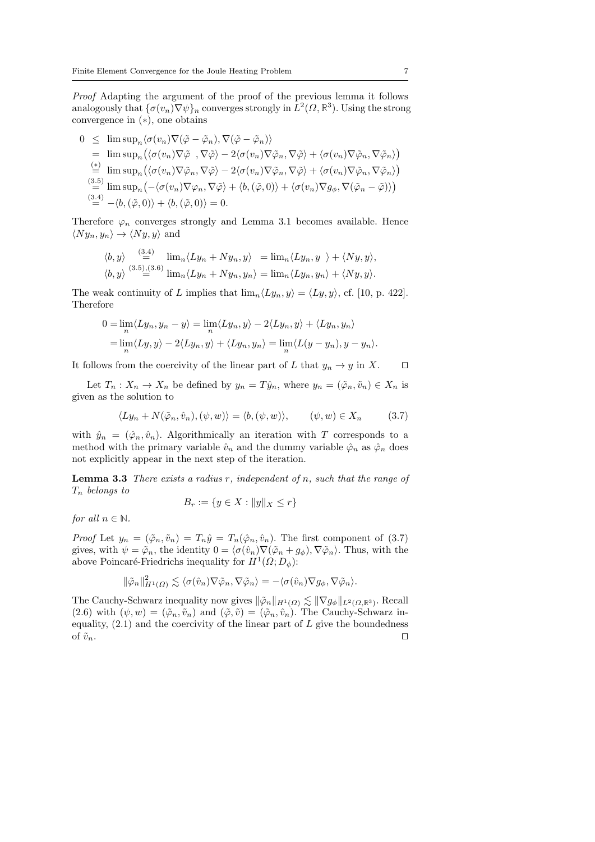Proof Adapting the argument of the proof of the previous lemma it follows analogously that  $\{\sigma(v_n)\nabla\psi\}_n$  converges strongly in  $L^2(\Omega,\mathbb{R}^3)$ . Using the strong convergence in (∗), one obtains

 $0 \leq \limsup_n \langle \sigma(v_n) \nabla(\tilde{\varphi} - \tilde{\varphi}_n), \nabla(\tilde{\varphi} - \tilde{\varphi}_n) \rangle$  $= \limsup_n (\langle \sigma(v_n) \nabla \tilde{\varphi} \rangle, \nabla \tilde{\varphi} \rangle - 2 \langle \sigma(v_n) \nabla \tilde{\varphi}_n, \nabla \tilde{\varphi} \rangle + \langle \sigma(v_n) \nabla \tilde{\varphi}_n, \nabla \tilde{\varphi}_n \rangle )$  $\stackrel{(*)}{=} \limsup_n (\langle \sigma(v_n) \nabla \tilde{\varphi}_n, \nabla \tilde{\varphi} \rangle - 2 \langle \sigma(v_n) \nabla \tilde{\varphi}_n, \nabla \tilde{\varphi} \rangle + \langle \sigma(v_n) \nabla \tilde{\varphi}_n, \nabla \tilde{\varphi}_n \rangle)$  $\stackrel{(3.5)}{=} \limsup_n \left( -\langle \sigma(v_n) \nabla \varphi_n, \nabla \tilde{\varphi} \rangle + \langle b, (\tilde{\varphi}, 0) \rangle + \langle \sigma(v_n) \nabla g_\phi, \nabla(\tilde{\varphi}_n - \tilde{\varphi}) \rangle \right)$  $\langle \stackrel{(3.4)}{=} -\langle b, (\tilde{\varphi}, 0) \rangle + \langle b, (\tilde{\varphi}, 0) \rangle = 0.$ 

Therefore  $\varphi_n$  converges strongly and Lemma 3.1 becomes available. Hence  $\langle Ny_n, y_n \rangle \rightarrow \langle Ny, y \rangle$  and

$$
\langle b, y \rangle \stackrel{(3.4)}{=} \lim_{n} \langle Ly_n + Ny_n, y \rangle = \lim_{n} \langle Ly_n, y \rangle + \langle Ny, y \rangle,
$$
  

$$
\langle b, y \rangle \stackrel{(3.5)}{=} \lim_{n} \langle Ly_n + Ny_n, y_n \rangle = \lim_{n} \langle Ly_n, y_n \rangle + \langle Ny, y \rangle.
$$

The weak continuity of L implies that  $\lim_{n} \langle Ly_n, y \rangle = \langle Ly, y \rangle$ , cf. [10, p. 422]. Therefore

$$
0 = \lim_{n} \langle Ly_n, y_n - y \rangle = \lim_{n} \langle Ly_n, y \rangle - 2\langle Ly_n, y \rangle + \langle Ly_n, y_n \rangle
$$
  
= 
$$
\lim_{n} \langle Ly, y \rangle - 2\langle Ly_n, y \rangle + \langle Ly_n, y_n \rangle = \lim_{n} \langle L(y - y_n), y - y_n \rangle.
$$

It follows from the coercivity of the linear part of L that  $y_n \to y$  in X.  $\Box$ 

Let  $T_n: X_n \to X_n$  be defined by  $y_n = T\hat{y}_n$ , where  $y_n = (\tilde{\varphi}_n, \tilde{v}_n) \in X_n$  is given as the solution to

$$
\langle Ly_n + N(\tilde{\varphi}_n, \hat{v}_n), (\psi, w) \rangle = \langle b, (\psi, w) \rangle, \qquad (\psi, w) \in X_n \tag{3.7}
$$

with  $\hat{y}_n = (\hat{\varphi}_n, \hat{v}_n)$ . Algorithmically an iteration with T corresponds to a method with the primary variable  $\hat{v}_n$  and the dummy variable  $\hat{\varphi}_n$  as  $\hat{\varphi}_n$  does not explicitly appear in the next step of the iteration.

**Lemma 3.3** There exists a radius r, independent of n, such that the range of  $T_n$  belongs to

$$
B_r := \{ y \in X : ||y||_X \le r \}
$$

for all  $n \in \mathbb{N}$ .

*Proof* Let  $y_n = (\tilde{\varphi}_n, \tilde{v}_n) = T_n \hat{y} = T_n(\hat{\varphi}_n, \hat{v}_n)$ . The first component of (3.7) gives, with  $\psi = \tilde{\varphi}_n$ , the identity  $0 = \langle \sigma(\hat{v}_n) \nabla(\tilde{\varphi}_n + g_{\phi}), \nabla \tilde{\varphi}_n \rangle$ . Thus, with the above Poincaré-Friedrichs inequality for  $H^1(\Omega; D_\phi)$ :

$$
\|\tilde{\varphi}_n\|_{H^1(\varOmega)}^2\lesssim \langle \sigma(\hat{v}_n)\nabla\tilde{\varphi}_n,\nabla\tilde{\varphi}_n\rangle=-\langle \sigma(\hat{v}_n)\nabla g_\phi,\nabla\tilde{\varphi}_n\rangle.
$$

The Cauchy-Schwarz inequality now gives  $\|\tilde{\varphi}_n\|_{H^1(\Omega)} \lesssim \|\nabla g_{\phi}\|_{L^2(\Omega,\mathbb{R}^3)}$ . Recall (2.6) with  $(\psi, w) = (\tilde{\varphi}_n, \tilde{v}_n)$  and  $(\tilde{\varphi}, \tilde{v}) = (\tilde{\varphi}_n, \tilde{v}_n)$ . The Cauchy-Schwarz inequality,  $(2.1)$  and the coercivity of the linear part of L give the boundedness of  $\tilde{v}_n$ .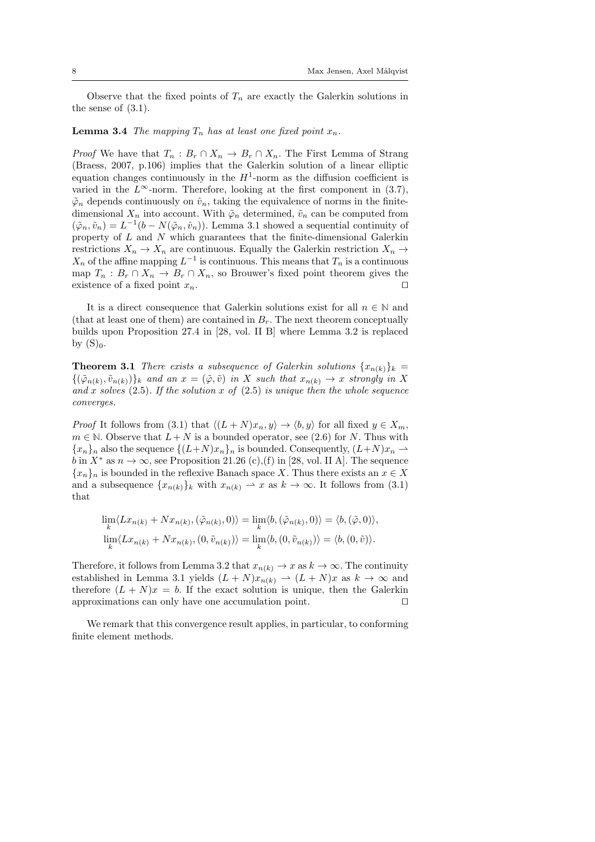Observe that the fixed points of  $T_n$  are exactly the Galerkin solutions in the sense of (3.1).

#### **Lemma 3.4** The mapping  $T_n$  has at least one fixed point  $x_n$ .

*Proof* We have that  $T_n : B_r \cap X_n \to B_r \cap X_n$ . The First Lemma of Strang (Braess, 2007, p.106) implies that the Galerkin solution of a linear elliptic equation changes continuously in the  $H^1$ -norm as the diffusion coefficient is varied in the  $L^{\infty}$ -norm. Therefore, looking at the first component in (3.7),  $\tilde{\varphi}_n$  depends continuously on  $\hat{v}_n$ , taking the equivalence of norms in the finitedimensional  $X_n$  into account. With  $\tilde{\varphi}_n$  determined,  $\tilde{v}_n$  can be computed from  $(\tilde{\varphi}_n, \tilde{v}_n) = L^{-1}(b - N(\tilde{\varphi}_n, \hat{v}_n))$ . Lemma 3.1 showed a sequential continuity of property of  $L$  and  $N$  which guarantees that the finite-dimensional Galerkin restrictions  $X_n \to X_n$  are continuous. Equally the Galerkin restriction  $X_n \to$  $X_n$  of the affine mapping  $L^{-1}$  is continuous. This means that  $T_n$  is a continuous map  $T_n : B_r \cap X_n \to B_r \cap X_n$ , so Brouwer's fixed point theorem gives the existence of a fixed point  $x_n$ .

It is a direct consequence that Galerkin solutions exist for all  $n \in \mathbb{N}$  and (that at least one of them) are contained in  $B_r$ . The next theorem conceptually builds upon Proposition 27.4 in [28, vol. II B] where Lemma 3.2 is replaced by  $(S)_0$ .

**Theorem 3.1** There exists a subsequence of Galerkin solutions  $\{x_{n(k)}\}_k =$  $\{(\tilde{\varphi}_{n(k)}, \tilde{v}_{n(k)})\}_k$  and an  $x = (\tilde{\varphi}, \tilde{v})$  in X such that  $x_{n(k)} \to x$  strongly in X and x solves  $(2.5)$ . If the solution x of  $(2.5)$  is unique then the whole sequence converges.

*Proof* It follows from (3.1) that  $\langle (L + N)x_n, y \rangle \rightarrow \langle b, y \rangle$  for all fixed  $y \in X_m$ ,  $m \in \mathbb{N}$ . Observe that  $L + N$  is a bounded operator, see (2.6) for N. Thus with  ${x_n}_n$  also the sequence  ${(L+N)x_n}_n$  is bounded. Consequently,  $(L+N)x_n \rightharpoonup$ b in  $X^*$  as  $n \to \infty$ , see Proposition 21.26 (c),(f) in [28, vol. II A]. The sequence  ${x_n}_n$  is bounded in the reflexive Banach space X. Thus there exists an  $x \in X$ and a subsequence  $\{x_{n(k)}\}_k$  with  $x_{n(k)} \to x$  as  $k \to \infty$ . It follows from (3.1) that

$$
\lim_{k} \langle Lx_{n(k)} + Nx_{n(k)}, (\tilde{\varphi}_{n(k)}, 0) \rangle = \lim_{k} \langle b, (\tilde{\varphi}_{n(k)}, 0) \rangle = \langle b, (\tilde{\varphi}, 0) \rangle,
$$
  

$$
\lim_{k} \langle Lx_{n(k)} + Nx_{n(k)}, (0, \tilde{v}_{n(k)}) \rangle = \lim_{k} \langle b, (0, \tilde{v}_{n(k)}) \rangle = \langle b, (0, \tilde{v}) \rangle.
$$

Therefore, it follows from Lemma 3.2 that  $x_{n(k)} \to x$  as  $k \to \infty$ . The continuity established in Lemma 3.1 yields  $(L+N)x_{n(k)} \rightarrow (L+N)x$  as  $k \rightarrow \infty$  and therefore  $(L + N)x = b$ . If the exact solution is unique, then the Galerkin approximations can only have one accumulation point.  $\Box$ 

We remark that this convergence result applies, in particular, to conforming finite element methods.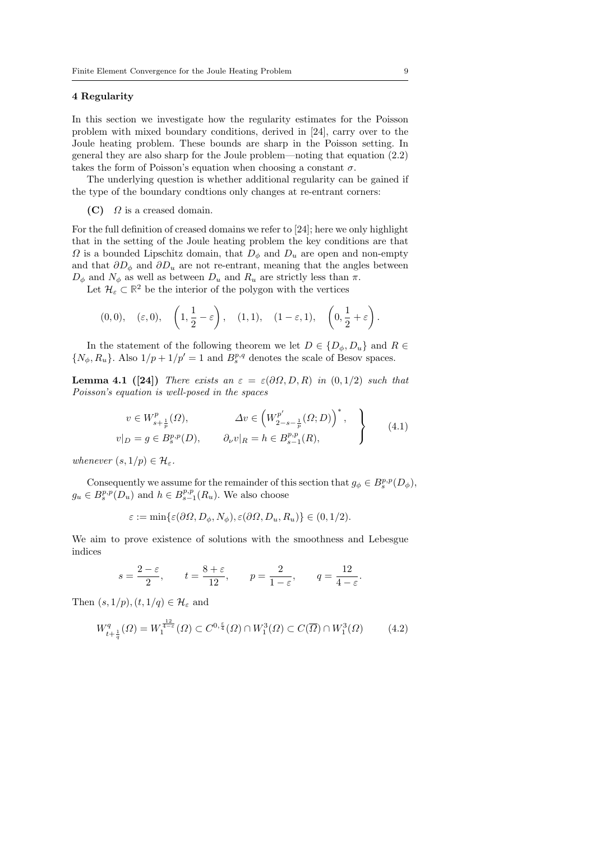#### 4 Regularity

In this section we investigate how the regularity estimates for the Poisson problem with mixed boundary conditions, derived in [24], carry over to the Joule heating problem. These bounds are sharp in the Poisson setting. In general they are also sharp for the Joule problem—noting that equation (2.2) takes the form of Poisson's equation when choosing a constant  $\sigma$ .

The underlying question is whether additional regularity can be gained if the type of the boundary condtions only changes at re-entrant corners:

#### $(C)$   $\Omega$  is a creased domain.

For the full definition of creased domains we refer to [24]; here we only highlight that in the setting of the Joule heating problem the key conditions are that  $\Omega$  is a bounded Lipschitz domain, that  $D_{\phi}$  and  $D_{u}$  are open and non-empty and that  $\partial D_{\phi}$  and  $\partial D_{u}$  are not re-entrant, meaning that the angles between  $D_{\phi}$  and  $N_{\phi}$  as well as between  $D_u$  and  $R_u$  are strictly less than  $\pi$ .

Let  $\mathcal{H}_{\varepsilon} \subset \mathbb{R}^2$  be the interior of the polygon with the vertices

$$
(0,0), \quad (\varepsilon,0), \quad \left(1,\frac{1}{2}-\varepsilon\right), \quad (1,1), \quad (1-\varepsilon,1), \quad \left(0,\frac{1}{2}+\varepsilon\right).
$$

In the statement of the following theorem we let  $D \in \{D_{\phi}, D_{u}\}\$  and  $R \in$  $\{N_{\phi}, R_u\}$ . Also  $1/p + 1/p' = 1$  and  $B_s^{p,q}$  denotes the scale of Besov spaces.

Lemma 4.1 ([24]) There exists an  $\varepsilon = \varepsilon(\partial\Omega, D, R)$  in  $(0, 1/2)$  such that Poisson's equation is well-posed in the spaces

$$
v \in W_{s+\frac{1}{p}}^{p}(\Omega), \qquad \Delta v \in (W_{2-s-\frac{1}{p}}^{p'}(\Omega; D))^{*},
$$
  

$$
v|_{D} = g \in B_{s}^{p,p}(D), \qquad \partial_{\nu}v|_{R} = h \in B_{s-1}^{p,p}(R),
$$
 (4.1)

whenever  $(s, 1/p) \in \mathcal{H}_{\varepsilon}$ .

Consequently we assume for the remainder of this section that  $g_{\phi} \in B_s^{p,p}(D_{\phi}),$  $g_u \in B_s^{p,p}(D_u)$  and  $h \in B_{s-1}^{p,p}(R_u)$ . We also choose

$$
\varepsilon := \min\{\varepsilon(\partial\Omega, D_{\phi}, N_{\phi}), \varepsilon(\partial\Omega, D_u, R_u)\} \in (0, 1/2).
$$

We aim to prove existence of solutions with the smoothness and Lebesgue indices

$$
s = \frac{2 - \varepsilon}{2}
$$
,  $t = \frac{8 + \varepsilon}{12}$ ,  $p = \frac{2}{1 - \varepsilon}$ ,  $q = \frac{12}{4 - \varepsilon}$ 

Then  $(s, 1/p), (t, 1/q) \in \mathcal{H}_{\varepsilon}$  and

$$
W_{t+\frac{1}{q}}^q(\Omega) = W_1^{\frac{12}{4-\varepsilon}}(\Omega) \subset C^{0,\frac{\varepsilon}{4}}(\Omega) \cap W_1^3(\Omega) \subset C(\overline{\Omega}) \cap W_1^3(\Omega) \tag{4.2}
$$

.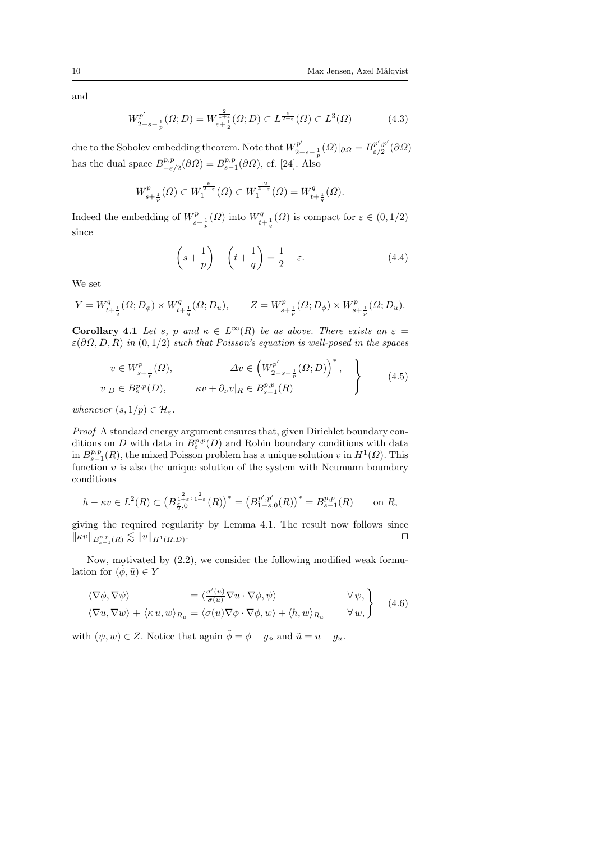and

$$
W^{p'}_{2-s-\frac{1}{p}}(\Omega;D) = W^{\frac{2}{1+\varepsilon}}_{\varepsilon+\frac{1}{2}}(\Omega;D) \subset L^{\frac{6}{2+\varepsilon}}(\Omega) \subset L^3(\Omega)
$$
 (4.3)

due to the Sobolev embedding theorem. Note that  $W_2^{p'}$  $\frac{p^{\prime }p^{\prime }}{2-s-\frac{1}{p}}(\varOmega )|_{\partial \varOmega }=B_{\varepsilon /2}^{p^{\prime },p^{\prime }}$  $\mathbb{P}_{\varepsilon/2}^{\,p\,\,,p}\left(\partial\varOmega\right)$ has the dual space  $B^{p,p}_{-\varepsilon}$  $P^{p,p}_{-\varepsilon/2}(\partial\Omega) = B^{p,p}_{s-1}(\partial\Omega)$ , cf. [24]. Also

$$
W_{s+\frac{1}{p}}^{p}(\Omega) \subset W_{1}^{\frac{6}{2-\varepsilon}}(\Omega) \subset W_{1}^{\frac{12}{4-\varepsilon}}(\Omega) = W_{t+\frac{1}{q}}^{q}(\Omega).
$$

Indeed the embedding of  $W_{s+\frac{1}{p}}^p(\Omega)$  into  $W_{t+\frac{1}{q}}^q(\Omega)$  is compact for  $\varepsilon \in (0,1/2)$ since

$$
\left(s+\frac{1}{p}\right)-\left(t+\frac{1}{q}\right)=\frac{1}{2}-\varepsilon.\tag{4.4}
$$

We set

$$
Y = W_{t+\frac{1}{q}}^q(\Omega; D_{\phi}) \times W_{t+\frac{1}{q}}^q(\Omega; D_u), \qquad Z = W_{s+\frac{1}{p}}^p(\Omega; D_{\phi}) \times W_{s+\frac{1}{p}}^p(\Omega; D_u).
$$

Corollary 4.1 Let s, p and  $\kappa \in L^{\infty}(R)$  be as above. There exists an  $\varepsilon =$  $\varepsilon(\partial\Omega, D, R)$  in  $(0, 1/2)$  such that Poisson's equation is well-posed in the spaces

$$
v \in W_{s+\frac{1}{p}}^p(\Omega), \qquad \Delta v \in \left(W_{2-s-\frac{1}{p}}^{p'}(\Omega;D)\right)^*,
$$
  

$$
v|_D \in B_s^{p,p}(D), \qquad \kappa v + \partial_\nu v|_R \in B_{s-1}^{p,p}(R) \qquad (4.5)
$$

whenever  $(s, 1/p) \in \mathcal{H}_{\varepsilon}$ .

Proof A standard energy argument ensures that, given Dirichlet boundary conditions on  $D$  with data in  $B_s^{p,p}(D)$  and Robin boundary conditions with data in  $B^{p,p}_{s-1}(R)$ , the mixed Poisson problem has a unique solution v in  $H^1(\Omega)$ . This function  $v$  is also the unique solution of the system with Neumann boundary conditions

$$
h - \kappa v \in L^{2}(R) \subset \left(B^{\frac{2}{1+\varepsilon},\frac{2}{1+\varepsilon}}_{\frac{\varepsilon}{2},0}(R)\right)^{*} = \left(B^{\,p',p'}_{1-s,0}(R)\right)^{*} = B^{p,p}_{s-1}(R) \qquad \text{on } R,
$$

giving the required regularity by Lemma 4.1. The result now follows since  $\|\kappa v\|_{B^{p,p}_{s-1}(R)} \lesssim \|v\|_{H^1(\Omega;D)}$ . The contract of the contract of the contract of the contract of the contract of the contract of the contract of the contract of the contract of the contract of the contract of the contract of the contract of the contract

Now, motivated by (2.2), we consider the following modified weak formulation for  $(\phi, \tilde{u}) \in Y$ 

$$
\langle \nabla \phi, \nabla \psi \rangle = \langle \frac{\sigma'(u)}{\sigma(u)} \nabla u \cdot \nabla \phi, \psi \rangle \qquad \forall \psi, \n\langle \nabla u, \nabla w \rangle + \langle \kappa u, w \rangle_{R_u} = \langle \sigma(u) \nabla \phi \cdot \nabla \phi, w \rangle + \langle h, w \rangle_{R_u} \qquad \forall w, \qquad (4.6)
$$

with  $(\psi, w) \in Z$ . Notice that again  $\tilde{\phi} = \phi - g_{\phi}$  and  $\tilde{u} = u - g_u$ .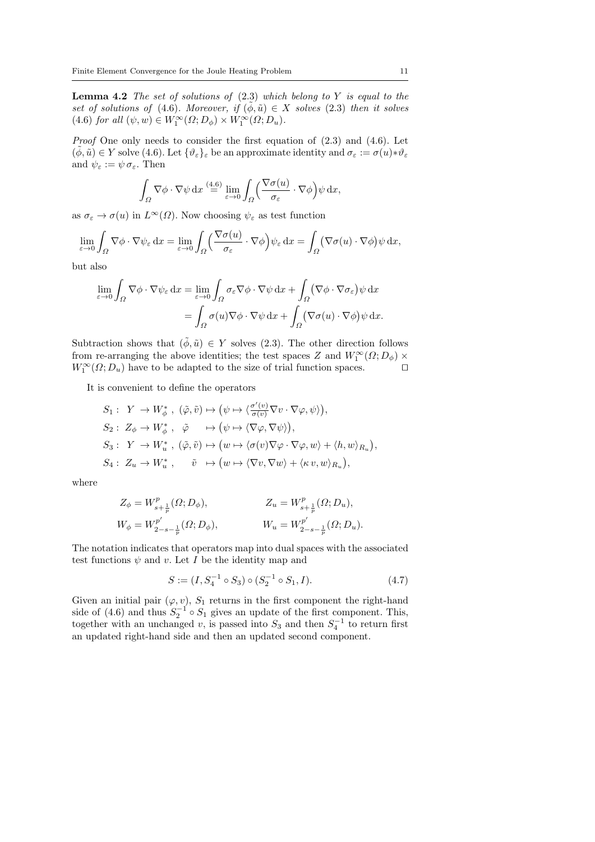**Lemma 4.2** The set of solutions of  $(2.3)$  which belong to Y is equal to the set of solutions of (4.6). Moreover, if  $(\phi, \tilde{u}) \in X$  solves (2.3) then it solves (4.6) for all  $(\psi, w) \in W_1^{\infty}(\Omega; D_\phi) \times W_1^{\infty}(\Omega; D_u)$ .

Proof One only needs to consider the first equation of  $(2.3)$  and  $(4.6)$ . Let  $(\phi, \tilde{u}) \in Y$  solve  $(4.6)$ . Let  $\{\vartheta_{\varepsilon}\}_{\varepsilon}$  be an approximate identity and  $\sigma_{\varepsilon} := \sigma(u) * \vartheta_{\varepsilon}$ and  $\psi_{\varepsilon} := \psi \sigma_{\varepsilon}$ . Then

$$
\int_{\Omega} \nabla \phi \cdot \nabla \psi \,dx \stackrel{(4.6)}{=} \lim_{\varepsilon \to 0} \int_{\Omega} \left( \frac{\nabla \sigma(u)}{\sigma_{\varepsilon}} \cdot \nabla \phi \right) \psi \,dx,
$$

as  $\sigma_{\varepsilon} \to \sigma(u)$  in  $L^{\infty}(\Omega)$ . Now choosing  $\psi_{\varepsilon}$  as test function

$$
\lim_{\varepsilon \to 0} \int_{\Omega} \nabla \phi \cdot \nabla \psi_{\varepsilon} dx = \lim_{\varepsilon \to 0} \int_{\Omega} \left( \frac{\nabla \sigma(u)}{\sigma_{\varepsilon}} \cdot \nabla \phi \right) \psi_{\varepsilon} dx = \int_{\Omega} (\nabla \sigma(u) \cdot \nabla \phi) \psi dx,
$$

but also

$$
\lim_{\varepsilon \to 0} \int_{\Omega} \nabla \phi \cdot \nabla \psi_{\varepsilon} \, dx = \lim_{\varepsilon \to 0} \int_{\Omega} \sigma_{\varepsilon} \nabla \phi \cdot \nabla \psi \, dx + \int_{\Omega} (\nabla \phi \cdot \nabla \sigma_{\varepsilon}) \psi \, dx \n= \int_{\Omega} \sigma(u) \nabla \phi \cdot \nabla \psi \, dx + \int_{\Omega} (\nabla \sigma(u) \cdot \nabla \phi) \psi \, dx.
$$

Subtraction shows that  $(\tilde{\phi}, \tilde{u}) \in Y$  solves (2.3). The other direction follows from re-arranging the above identities; the test spaces Z and  $W_1^{\infty}(\Omega; D_{\phi}) \times$  $W_1^{\infty}(\Omega; D_u)$  have to be adapted to the size of trial function spaces.

It is convenient to define the operators

$$
S_1: Y \to W_{\phi}^*, (\tilde{\varphi}, \tilde{v}) \mapsto (\psi \mapsto \langle \frac{\sigma'(v)}{\sigma(v)} \nabla v \cdot \nabla \varphi, \psi \rangle),
$$
  
\n
$$
S_2: Z_{\phi} \to W_{\phi}^*, \tilde{\varphi} \mapsto (\psi \mapsto \langle \nabla \varphi, \nabla \psi \rangle),
$$
  
\n
$$
S_3: Y \to W_u^*, (\tilde{\varphi}, \tilde{v}) \mapsto (w \mapsto \langle \sigma(v) \nabla \varphi \cdot \nabla \varphi, w \rangle + \langle h, w \rangle_{R_u}),
$$
  
\n
$$
S_4: Z_u \to W_u^*, \tilde{v} \mapsto (w \mapsto \langle \nabla v, \nabla w \rangle + \langle \kappa v, w \rangle_{R_u}),
$$

where

$$
\begin{aligned} Z_{\phi} &= W^p_{s + \frac{1}{p}}(\Omega; D_{\phi}), && Z_u &= W^p_{s + \frac{1}{p}}(\Omega; D_u), \\ W_{\phi} &= W^{p'}_{2 - s - \frac{1}{p}}(\Omega; D_{\phi}), && W_u &= W^{p'}_{2 - s - \frac{1}{p}}(\Omega; D_u). \end{aligned}
$$

The notation indicates that operators map into dual spaces with the associated test functions  $\psi$  and v. Let I be the identity map and

$$
S := (I, S_4^{-1} \circ S_3) \circ (S_2^{-1} \circ S_1, I). \tag{4.7}
$$

Given an initial pair  $(\varphi, v)$ ,  $S_1$  returns in the first component the right-hand side of (4.6) and thus  $S_2^{-1} \circ S_1$  gives an update of the first component. This, together with an unchanged v, is passed into  $S_3$  and then  $S_4^{-1}$  to return first an updated right-hand side and then an updated second component.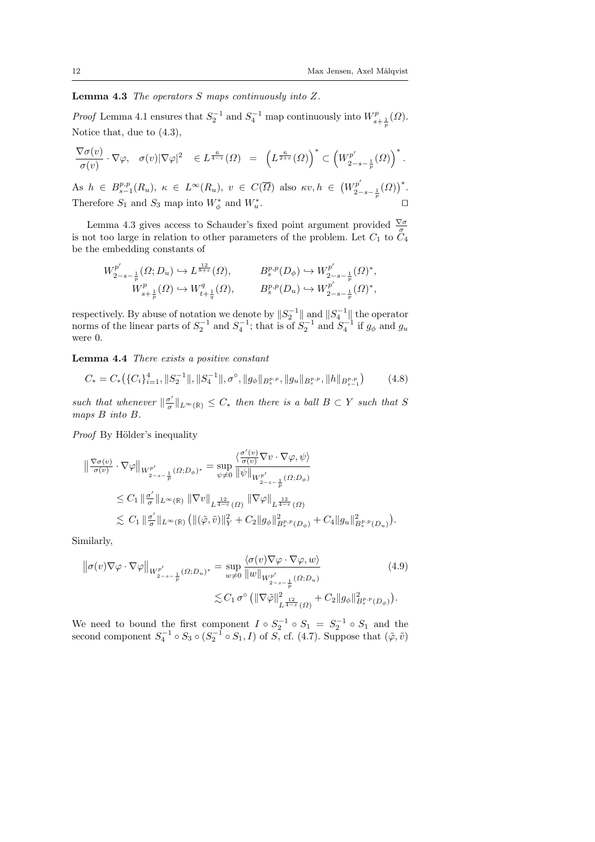**Lemma 4.3** The operators  $S$  maps continuously into  $Z$ .

*Proof* Lemma 4.1 ensures that  $S_2^{-1}$  and  $S_4^{-1}$  map continuously into  $W_{s+\frac{1}{p}}^p(\Omega)$ . Notice that, due to (4.3),

$$
\frac{\nabla \sigma(v)}{\sigma(v)} \cdot \nabla \varphi, \quad \sigma(v) |\nabla \varphi|^2 \quad \in L^{\frac{6}{4-\varepsilon}}(\Omega) = \left( L^{\frac{6}{2+\varepsilon}}(\Omega) \right)^* \subset \left( W_{2-s-\frac{1}{p}}^{p'}(\Omega) \right)^*.
$$

As  $h \in B^{p,p}_{s-1}(R_u)$ ,  $\kappa \in L^{\infty}(R_u)$ ,  $v \in C(\overline{\Omega})$  also  $\kappa v, h \in (W^{p'}_{2-1})$  $\binom{p'}{2-s-\frac{1}{p}}(0)$ <sup>\*</sup>. Therefore  $S_1$  and  $S_3$  map into  $W^*_{\phi}$  and  $W^*_{u}$ . The contract of the contract  $\Box$ 

Lemma 4.3 gives access to Schauder's fixed point argument provided  $\frac{\nabla \sigma}{\sigma}$  is not too large in relation to other parameters of the problem. Let  $C_1$  to  $C_4$ be the embedding constants of

$$
\begin{array}{lll} \displaystyle W^{p'}_{2-s-\frac{1}{p}}(\varOmega;D_u)\hookrightarrow L^{\frac{12}{8+\varepsilon}}(\varOmega),\qquad &\displaystyle B^{p,p}_{s}(D_{\phi})\hookrightarrow W^{p'}_{2-s-\frac{1}{p}}(\varOmega)^*,\\ \displaystyle W^p_{s+\frac{1}{p}}(\varOmega)\hookrightarrow W^q_{t+\frac{1}{q}}(\varOmega),\qquad &\displaystyle B^{p,p}_{s}(D_u)\hookrightarrow W^{p'}_{2-s-\frac{1}{p}}(\varOmega)^*, \end{array}
$$

respectively. By abuse of notation we denote by  $||S_2^{-1}||$  and  $||S_4^{-1}||$  the operator norms of the linear parts of  $S_2^{-1}$  and  $S_4^{-1}$ ; that is of  $S_2^{-1}$  and  $S_4^{-1}$  if  $g_{\phi}$  and  $g_u$ were 0.

Lemma 4.4 There exists a positive constant

$$
C_* = C_* \left( \{ C_i \}_{i=1}^4, \| S_2^{-1} \| , \| S_4^{-1} \| , \sigma^\circ, \| g_\phi \|_{B_s^{p,p}}, \| g_u \|_{B_s^{p,p}}, \| h \|_{B_{s-1}^{p,p}} \right) \tag{4.8}
$$

such that whenever  $\Vert \frac{\sigma'}{\sigma} \Vert$  $\frac{\sigma'}{\sigma}$ ||<sub>L</sub>∞<sub>(</sub> $\mathbb{R}$ )  $\leq C_*$  then there is a ball  $B \subset Y$  such that S maps B into B.

Proof By Hölder's inequality

$$
\begin{split} \left\| \frac{\nabla \sigma(v)}{\sigma(v)} \cdot \nabla \varphi \right\|_{W^{p'}_{2-s-\frac{1}{p}}(\Omega; D_{\phi})^*} &= \sup_{\psi \neq 0} \frac{\langle \frac{\sigma'(v)}{\sigma(v)} \nabla v \cdot \nabla \varphi, \psi \rangle}{\left\| \psi \right\|_{W^{p'}_{2-s-\frac{1}{p}}(\Omega; D_{\phi})}} \\ &\leq C_1 \left\| \frac{\sigma'}{\sigma} \right\|_{L^{\infty}(\mathbb{R})} \left\| \nabla v \right\|_{L^{\frac{12}{4-\varepsilon}}(\Omega)} \left\| \nabla \varphi \right\|_{L^{\frac{12}{4-\varepsilon}}(\Omega)} \\ &\lesssim C_1 \left\| \frac{\sigma'}{\sigma} \right\|_{L^{\infty}(\mathbb{R})} \left( \| (\tilde{\varphi}, \tilde{v}) \|^2_Y + C_2 \| g_{\phi} \|^2_{B^{p,p}_s(D_{\phi})} + C_4 \| g_u \|^2_{B^{p,p}_s(D_u)} \right). \end{split}
$$

Similarly,

$$
\|\sigma(v)\nabla\varphi\cdot\nabla\varphi\|_{W^{p'}_{2-s-\frac{1}{p}}(\Omega;D_u)^*} = \sup_{w\neq 0} \frac{\langle\sigma(v)\nabla\varphi\cdot\nabla\varphi,w\rangle}{\|w\|_{W^{p'}_{2-s-\frac{1}{p}}(\Omega;D_u)}} \leq C_1 \sigma^{\circ} \left(\|\nabla\tilde{\varphi}\|_{L^{\frac{12}{4-\epsilon}}(\Omega)}^2 + C_2 \|g_{\phi}\|_{B_s^{p,p}(D_{\phi})}^2\right).
$$
\n(4.9)

We need to bound the first component  $I \circ S_2^{-1} \circ S_1 = S_2^{-1} \circ S_1$  and the second component  $S_4^{-1} \circ S_3 \circ (S_2^{-1} \circ S_1, I)$  of  $S$ , cf. (4.7). Suppose that  $(\tilde{\varphi}, \tilde{v})$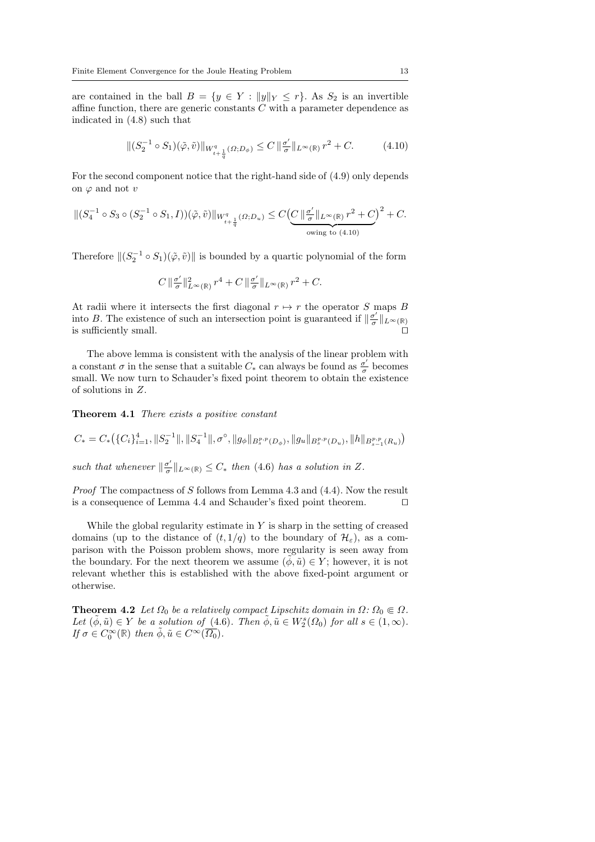are contained in the ball  $B = \{y \in Y : ||y||_Y \le r\}$ . As  $S_2$  is an invertible affine function, there are generic constants  $C$  with a parameter dependence as indicated in (4.8) such that

$$
\|(S_2^{-1}\circ S_1)(\tilde{\varphi},\tilde{v})\|_{W^q_{t+\frac{1}{q}}(\Omega;D_{\phi})}\leq C\,\|\frac{\sigma'}{\sigma}\|_{L^{\infty}(\mathbb{R})}\,r^2+C.\tag{4.10}
$$

For the second component notice that the right-hand side of (4.9) only depends on  $\varphi$  and not v

$$
\|(S_4^{-1}\circ S_3 \circ (S_2^{-1}\circ S_1, I))(\tilde{\varphi}, \tilde{v})\|_{W^q_{t+\frac{1}{q}}(\Omega; D_u)} \le C\left(\underbrace{C\left\|\frac{\sigma'}{\sigma}\right\|_{L^{\infty}(\mathbb{R})}r^2 + C}_{\text{owing to (4.10)}}\right)^2 + C.
$$

Therefore  $\|(S_2^{-1} \circ S_1)(\tilde{\varphi}, \tilde{v})\|$  is bounded by a quartic polynomial of the form

$$
C\,\|\tfrac{\sigma'}{\sigma}\t\|^2_{L^\infty(\mathbb{R})}\,r^4+C\,\|\tfrac{\sigma'}{\sigma}\t\|_{L^\infty(\mathbb{R})}\,r^2+C.
$$

At radii where it intersects the first diagonal  $r \mapsto r$  the operator S maps B into B. The existence of such an intersection point is guaranteed if  $\frac{\sigma'}{\sigma}$  $\frac{\sigma'}{\sigma}\|_{L^\infty(\mathbb{R})}$ is sufficiently small.

The above lemma is consistent with the analysis of the linear problem with a constant  $\sigma$  in the sense that a suitable  $C_*$  can always be found as  $\frac{\sigma'}{\sigma}$  $\frac{\sigma'}{\sigma}$  becomes small. We now turn to Schauder's fixed point theorem to obtain the existence of solutions in Z.

Theorem 4.1 There exists a positive constant

$$
C_* = C_* \left( \{C_i\}_{i=1}^4, \|S_2^{-1}\|, \|S_4^{-1}\|, \sigma^\circ, \|g_\phi\|_{B_s^{p,p}(D_\phi)}, \|g_u\|_{B_s^{p,p}(D_u)}, \|h\|_{B_{s-1}^{p,p}(R_u)} \right)
$$

such that whenever  $\Vert \frac{\sigma'}{\sigma} \Vert$  $\frac{\sigma'}{\sigma}$ ||<sub>L</sub><sup>∞</sup>(ℝ) ≤ C<sup>\*</sup> then (4.6) has a solution in Z.

*Proof* The compactness of S follows from Lemma 4.3 and  $(4.4)$ . Now the result is a consequence of Lemma 4.4 and Schauder's fixed point theorem.  $\Box$ 

While the global regularity estimate in  $Y$  is sharp in the setting of creased domains (up to the distance of  $(t, 1/q)$  to the boundary of  $\mathcal{H}_{\varepsilon}$ ), as a comparison with the Poisson problem shows, more regularity is seen away from the boundary. For the next theorem we assume  $(\phi, \tilde{u}) \in Y$ ; however, it is not relevant whether this is established with the above fixed-point argument or otherwise.

**Theorem 4.2** Let  $\Omega_0$  be a relatively compact Lipschitz domain in  $\Omega: \Omega_0 \in \Omega$ . Let  $(\tilde{\phi}, \tilde{u}) \in Y$  be a solution of (4.6). Then  $\tilde{\phi}, \tilde{u} \in W_2^s(\Omega_0)$  for all  $s \in (1, \infty)$ . If  $\sigma \in C_0^{\infty}(\mathbb{R})$  then  $\tilde{\phi}, \tilde{u} \in C^{\infty}(\overline{\Omega_0})$ .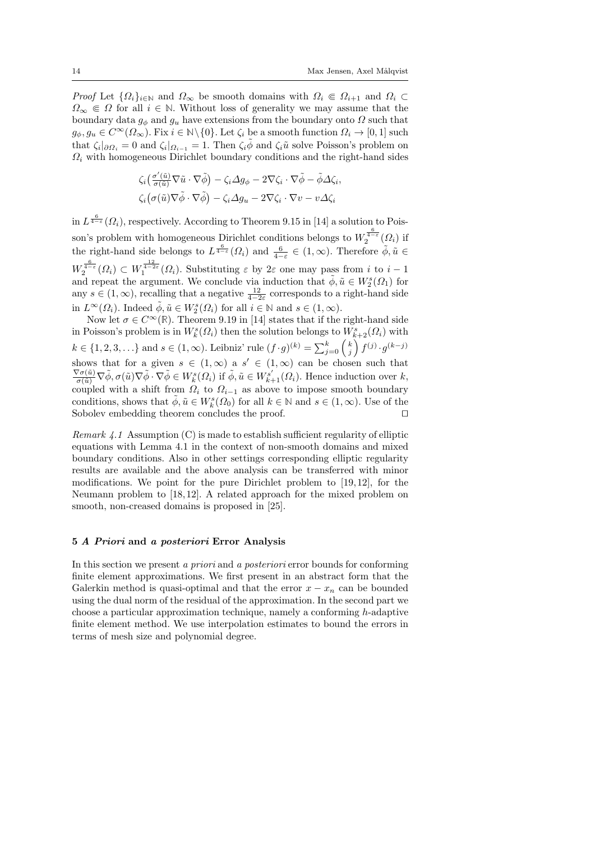*Proof* Let  $\{\Omega_i\}_{i\in\mathbb{N}}$  and  $\Omega_{\infty}$  be smooth domains with  $\Omega_i \in \Omega_{i+1}$  and  $\Omega_i \subset$  $\Omega_{\infty} \in \Omega$  for all  $i \in \mathbb{N}$ . Without loss of generality we may assume that the boundary data  $g_{\phi}$  and  $g_u$  have extensions from the boundary onto  $\Omega$  such that  $g_{\phi}, g_u \in C^{\infty}(\Omega_{\infty})$ . Fix  $i \in \mathbb{N} \setminus \{0\}$ . Let  $\zeta_i$  be a smooth function  $\Omega_i \to [0, 1]$  such that  $\zeta_i|_{\partial\Omega_i} = 0$  and  $\zeta_i|_{\Omega_{i-1}} = 1$ . Then  $\zeta_i\tilde{\phi}$  and  $\zeta_i\tilde{u}$  solve Poisson's problem on  $\Omega_i$  with homogeneous Dirichlet boundary conditions and the right-hand sides

$$
\zeta_i \left( \frac{\sigma'(\tilde{u})}{\sigma(\tilde{u})} \nabla \tilde{u} \cdot \nabla \tilde{\phi} \right) - \zeta_i \Delta g_{\phi} - 2 \nabla \zeta_i \cdot \nabla \tilde{\phi} - \tilde{\phi} \Delta \zeta_i,
$$
  

$$
\zeta_i \left( \sigma(\tilde{u}) \nabla \tilde{\phi} \cdot \nabla \tilde{\phi} \right) - \zeta_i \Delta g_u - 2 \nabla \zeta_i \cdot \nabla v - v \Delta \zeta_i
$$

in  $L^{\frac{6}{4-\epsilon}}(\Omega_i)$ , respectively. According to Theorem 9.15 in [14] a solution to Poisson's problem with homogeneous Dirichlet conditions belongs to  $W_2^{\frac{6}{4-\varepsilon}}(\Omega_i)$  if the right-hand side belongs to  $L^{\frac{6}{4-\epsilon}}(\Omega_i)$  and  $\frac{6}{4-\epsilon} \in (1,\infty)$ . Therefore  $\tilde{\phi}, \tilde{u} \in$  $W_2^{\frac{6}{4-\varepsilon}}(\Omega_i) \subset W_1^{\frac{12}{4-2\varepsilon}}(\Omega_i)$ . Substituting  $\varepsilon$  by  $2\varepsilon$  one may pass from i to  $i-1$ and repeat the argument. We conclude via induction that  $\tilde{\phi}, \tilde{u} \in W_2^s(\Omega_1)$  for any  $s \in (1, \infty)$ , recalling that a negative  $\frac{12}{4-2\varepsilon}$  corresponds to a right-hand side in  $L^{\infty}(\Omega_i)$ . Indeed  $\tilde{\phi}, \tilde{u} \in W_2^s(\Omega_i)$  for all  $i \in \mathbb{N}$  and  $s \in (1, \infty)$ .

Now let  $\sigma \in C^{\infty}(\mathbb{R})$ . Theorem 9.19 in [14] states that if the right-hand side in Poisson's problem is in  $W_k^s(\Omega_i)$  then the solution belongs to  $W_{k+2}^s(\Omega_i)$  with  $k \in \{1, 2, 3, \ldots\}$  and  $s \in (1, \infty)$ . Leibniz' rule  $(f \cdot g)^{(k)} = \sum_{j=0}^{k} {k \choose j} f^{(j)} \cdot g^{(k-j)}$ shows that for a given  $s \in (1,\infty)$  a  $s' \in (1,\infty)$  can be chosen such that  $\frac{\nabla \sigma(\tilde{u})}{\sigma(\tilde{u})} \nabla \tilde{\phi}, \sigma(\tilde{u}) \nabla \tilde{\phi} \cdot \nabla \tilde{\phi} \in W^s_k(\Omega_i)$  if  $\tilde{\phi}, \tilde{u} \in W^{s'}_{k+1}(\Omega_i)$ . Hence induction over  $k$ , coupled with a shift from  $\Omega_i$  to  $\Omega_{i-1}$  as above to impose smooth boundary conditions, shows that  $\tilde{\phi}$ ,  $\tilde{u} \in W_k^s(\Omega_0)$  for all  $k \in \mathbb{N}$  and  $s \in (1, \infty)$ . Use of the Sobolev embedding theorem concludes the proof.

*Remark 4.1* Assumption (C) is made to establish sufficient regularity of elliptic equations with Lemma 4.1 in the context of non-smooth domains and mixed boundary conditions. Also in other settings corresponding elliptic regularity results are available and the above analysis can be transferred with minor modifications. We point for the pure Dirichlet problem to  $[19, 12]$ , for the Neumann problem to [18, 12]. A related approach for the mixed problem on smooth, non-creased domains is proposed in  $[25]$ .

#### 5 A Priori and a posteriori Error Analysis

In this section we present a priori and a posteriori error bounds for conforming finite element approximations. We first present in an abstract form that the Galerkin method is quasi-optimal and that the error  $x - x_n$  can be bounded using the dual norm of the residual of the approximation. In the second part we choose a particular approximation technique, namely a conforming h-adaptive finite element method. We use interpolation estimates to bound the errors in terms of mesh size and polynomial degree.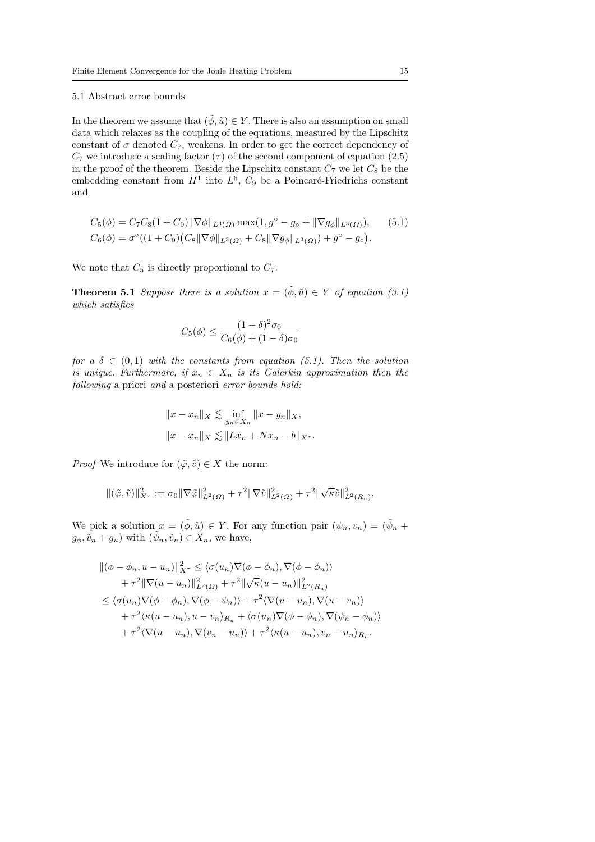#### 5.1 Abstract error bounds

In the theorem we assume that  $(\tilde{\phi}, \tilde{u}) \in Y$ . There is also an assumption on small data which relaxes as the coupling of the equations, measured by the Lipschitz constant of  $\sigma$  denoted  $C_7$ , weakens. In order to get the correct dependency of  $C_7$  we introduce a scaling factor  $(\tau)$  of the second component of equation (2.5) in the proof of the theorem. Beside the Lipschitz constant  $C_7$  we let  $C_8$  be the embedding constant from  $H^1$  into  $L^6$ ,  $C_9$  be a Poincaré-Friedrichs constant and

$$
C_5(\phi) = C_7 C_8 (1 + C_9) \|\nabla \phi\|_{L^3(\Omega)} \max(1, g^{\circ} - g_{\circ} + \|\nabla g_{\phi}\|_{L^3(\Omega)}),
$$
 (5.1)  

$$
C_6(\phi) = \sigma^{\circ}((1 + C_9)(C_8 \|\nabla \phi\|_{L^3(\Omega)} + C_8 \|\nabla g_{\phi}\|_{L^3(\Omega)}) + g^{\circ} - g_{\circ}),
$$

We note that  $C_5$  is directly proportional to  $C_7$ .

**Theorem 5.1** Suppose there is a solution  $x = (\tilde{\phi}, \tilde{u}) \in Y$  of equation (3.1) which satisfies

$$
C_5(\phi) \le \frac{(1-\delta)^2 \sigma_0}{C_6(\phi) + (1-\delta)\sigma_0}
$$

for a  $\delta \in (0,1)$  with the constants from equation (5.1). Then the solution is unique. Furthermore, if  $x_n \in X_n$  is its Galerkin approximation then the following a priori and a posteriori error bounds hold:

$$
||x - x_n||_X \lesssim \inf_{y_n \in X_n} ||x - y_n||_X,
$$
  

$$
||x - x_n||_X \lesssim ||Lx_n + Nx_n - b||_{X^*}.
$$

*Proof* We introduce for  $(\tilde{\varphi}, \tilde{v}) \in X$  the norm:

$$
\|(\tilde{\varphi}, \tilde{v})\|^2_{X^{\tau}} := \sigma_0 \|\nabla \tilde{\varphi}\|^2_{L^2(\Omega)} + \tau^2 \|\nabla \tilde{v}\|^2_{L^2(\Omega)} + \tau^2 \|\sqrt{\kappa} \tilde{v}\|^2_{L^2(R_u)}.
$$

We pick a solution  $x = (\tilde{\phi}, \tilde{u}) \in Y$ . For any function pair  $(\psi_n, v_n) = (\tilde{\psi}_n + \tilde{\psi}_n)$  $g_{\phi}, \tilde{v}_n + g_u$ ) with  $(\tilde{\psi}_n, \tilde{v}_n) \in X_n$ , we have,

$$
\begin{split}\n\|(\phi - \phi_n, u - u_n)\|_{X^{\tau}}^2 &\leq \langle \sigma(u_n) \nabla(\phi - \phi_n), \nabla(\phi - \phi_n) \rangle \\
&\quad + \tau^2 \|\nabla(u - u_n)\|_{L^2(\Omega)}^2 + \tau^2 \|\sqrt{\kappa}(u - u_n)\|_{L^2(R_u)}^2 \\
&\leq \langle \sigma(u_n) \nabla(\phi - \phi_n), \nabla(\phi - \psi_n) \rangle + \tau^2 \langle \nabla(u - u_n), \nabla(u - v_n) \rangle \\
&\quad + \tau^2 \langle \kappa(u - u_n), u - v_n \rangle_{R_u} + \langle \sigma(u_n) \nabla(\phi - \phi_n), \nabla(\psi_n - \phi_n) \rangle \\
&\quad + \tau^2 \langle \nabla(u - u_n), \nabla(v_n - u_n) \rangle + \tau^2 \langle \kappa(u - u_n), v_n - u_n \rangle_{R_u}.\n\end{split}
$$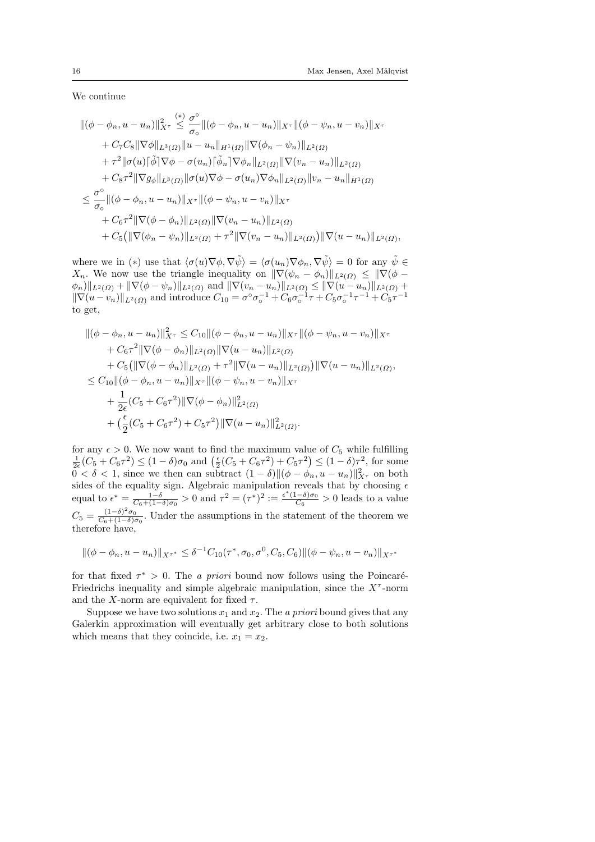We continue

$$
\begin{split}\n&\|(\phi - \phi_n, u - u_n)\|_{X^{\tau}}^2 \leq \frac{\sigma^{\circ}}{\sigma_{\circ}} \|(\phi - \phi_n, u - u_n)\|_{X^{\tau}} \|(\phi - \psi_n, u - v_n)\|_{X^{\tau}} \\
&+ C_7 C_8 \|\nabla \phi\|_{L^3(\Omega)} \|u - u_n\|_{H^1(\Omega)} \|\nabla(\phi_n - \psi_n)\|_{L^2(\Omega)} \\
&+ \tau^2 \|\sigma(u)[\tilde{\phi}]\nabla \phi - \sigma(u_n)[\tilde{\phi}_n]\nabla \phi_n\|_{L^2(\Omega)} \|\nabla(v_n - u_n)\|_{L^2(\Omega)} \\
&+ C_8 \tau^2 \|\nabla g_\phi\|_{L^3(\Omega)} \|\sigma(u)\nabla \phi - \sigma(u_n)\nabla \phi_n\|_{L^2(\Omega)} \|v_n - u_n\|_{H^1(\Omega)} \\
&\leq \frac{\sigma^{\circ}}{\sigma_{\circ}} \|(\phi - \phi_n, u - u_n)\|_{X^{\tau}} \|(\phi - \psi_n, u - v_n)\|_{X^{\tau}} \\
&+ C_6 \tau^2 \|\nabla(\phi - \phi_n)\|_{L^2(\Omega)} \|\nabla(v_n - u_n)\|_{L^2(\Omega)}\|(\phi(u_n - u_n)\|_{L^2(\Omega)})\|\nabla(u - u_n)\|_{L^2(\Omega)},\n\end{split}
$$

where we in (\*) use that  $\langle \sigma(u)\nabla\phi, \nabla\tilde{\psi}\rangle = \langle \sigma(u_n)\nabla\phi_n, \nabla\tilde{\psi}\rangle = 0$  for any  $\tilde{\psi} \in$  $X_n$ . We now use the triangle inequality on  $\|\nabla(\psi_n - \phi_n)\|_{L^2(\Omega)} \leq \|\nabla(\phi - \phi_n)\|_{L^2(\Omega)}$  $\|\phi_n\|_{L^2(\Omega)} + \|\nabla(\phi - \psi_n)\|_{L^2(\Omega)}$  and  $\|\nabla(v_n - u_n)\|_{L^2(\Omega)} \leq \|\nabla(u - u_n)\|_{L^2(\Omega)} + \|\nabla(\phi - u_n)\|_{L^2(\Omega)}$  $\|\nabla(u - v_n)\|_{L^2(\Omega)}$  and introduce  $C_{10} = \sigma^\circ \sigma_0^{-1} + C_6 \sigma_0^{-1} \tau + C_5 \sigma_0^{-1} \tau^{-1} + C_5 \tau^{-1}$ to get,

$$
\begin{split}\n\|(\phi - \phi_n, u - u_n)\|_{X^{\tau}}^2 &\leq C_{10} \|\phi - \phi_n, u - u_n\|_{X^{\tau}} \|\phi - \psi_n, u - v_n\|_{X^{\tau}} \\
&\quad + C_6 \tau^2 \|\nabla(\phi - \phi_n)\|_{L^2(\Omega)} \|\nabla(u - u_n)\|_{L^2(\Omega)} \\
&\quad + C_5 \big(\|\nabla(\phi - \phi_n)\|_{L^2(\Omega)} + \tau^2 \|\nabla(u - u_n)\|_{L^2(\Omega)}\big) \|\nabla(u - u_n)\|_{L^2(\Omega)}, \\
&\leq C_{10} \|\phi - \phi_n, u - u_n\|_{X^{\tau}} \|\phi - \psi_n, u - v_n\|_{X^{\tau}} \\
&\quad + \frac{1}{2\epsilon} (C_5 + C_6 \tau^2) \|\nabla(\phi - \phi_n)\|_{L^2(\Omega)}^2 \\
&\quad + (\frac{\epsilon}{2} (C_5 + C_6 \tau^2) + C_5 \tau^2) \|\nabla(u - u_n)\|_{L^2(\Omega)}^2.\n\end{split}
$$

for any  $\epsilon > 0$ . We now want to find the maximum value of  $C_5$  while fulfilling  $\frac{1}{2\epsilon}(C_5 + C_6\tau^2) \le (1 - \delta)\sigma_0$  and  $\left(\frac{\epsilon}{2}(C_5 + C_6\tau^2) + C_5\tau^2\right) \le (1 - \delta)\tau^2$ , for some  $0 < \delta < 1$ , since we then can subtract  $(1 - \delta) ||(\phi - \phi_n, u - u_n)||_{X^{\tau}}^2$  on both sides of the equality sign. Algebraic manipulation reveals that by choosing  $\epsilon$ equal to  $\epsilon^* = \frac{1-\delta}{C_6+(1-\delta)\sigma_0} > 0$  and  $\tau^2 = (\tau^*)^2 := \frac{\epsilon^*(1-\delta)\sigma_0}{C_6}$  $\frac{(-\sigma)\sigma_0}{C_6} > 0$  leads to a value  $C_5 = \frac{(1-\delta)^2 \sigma_0}{C_6 + (1-\delta) \sigma_0}$  $\frac{(1-\sigma)\ \sigma_0}{C_6+(1-\delta)\sigma_0}$ . Under the assumptions in the statement of the theorem we therefore have,

$$
\|(\phi - \phi_n, u - u_n)\|_{X^{\tau^*}} \leq \delta^{-1} C_{10}(\tau^*, \sigma_0, \sigma^0, C_5, C_6) \|(\phi - \psi_n, u - v_n)\|_{X^{\tau^*}}
$$

for that fixed  $\tau^* > 0$ . The *a priori* bound now follows using the Poincaré-Friedrichs inequality and simple algebraic manipulation, since the  $X^{\tau}$ -norm and the X-norm are equivalent for fixed  $\tau$ .

Suppose we have two solutions  $x_1$  and  $x_2$ . The a priori bound gives that any Galerkin approximation will eventually get arbitrary close to both solutions which means that they coincide, i.e.  $x_1 = x_2$ .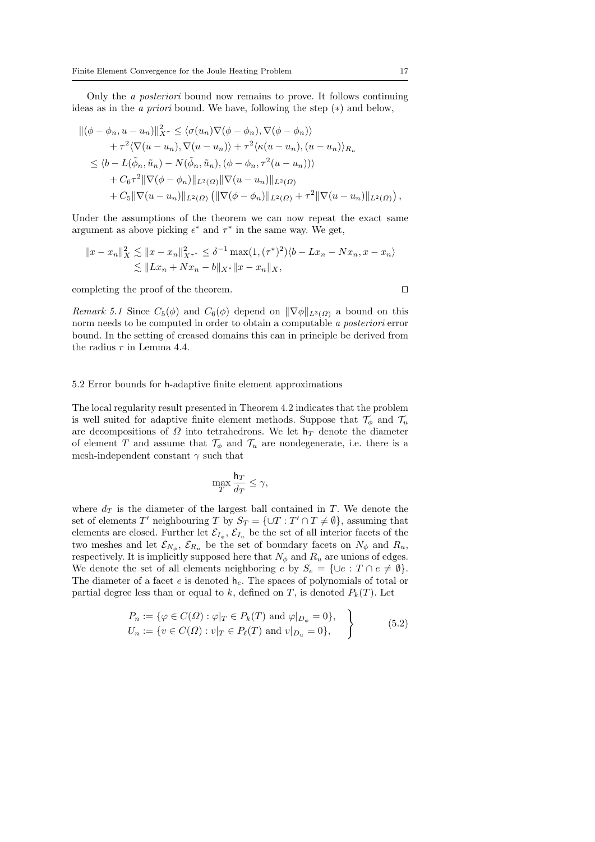Only the a posteriori bound now remains to prove. It follows continuing ideas as in the a priori bound. We have, following the step (∗) and below,

$$
\begin{split}\n\|(\phi - \phi_n, u - u_n)\|_{X^\tau}^2 &\leq \langle \sigma(u_n) \nabla(\phi - \phi_n), \nabla(\phi - \phi_n) \rangle \\
&\quad + \tau^2 \langle \nabla(u - u_n), \nabla(u - u_n) \rangle + \tau^2 \langle \kappa(u - u_n), (u - u_n) \rangle_{R_u} \\
&\leq \langle b - L(\tilde{\phi}_n, \tilde{u}_n) - N(\tilde{\phi}_n, \tilde{u}_n), (\phi - \phi_n, \tau^2(u - u_n)) \rangle \\
&\quad + C_6 \tau^2 \|\nabla(\phi - \phi_n)\|_{L^2(\Omega)} \|\nabla(u - u_n)\|_{L^2(\Omega)} \\
&\quad + C_5 \|\nabla(u - u_n)\|_{L^2(\Omega)} \left( \|\nabla(\phi - \phi_n)\|_{L^2(\Omega)} + \tau^2 \|\nabla(u - u_n)\|_{L^2(\Omega)} \right),\n\end{split}
$$

Under the assumptions of the theorem we can now repeat the exact same argument as above picking  $\epsilon^*$  and  $\tau^*$  in the same way. We get,

$$
||x - x_n||_X^2 \lesssim ||x - x_n||_{X^{\tau^*}}^2 \le \delta^{-1} \max(1, (\tau^*)^2) \langle b - Lx_n - Nx_n, x - x_n \rangle
$$
  

$$
\lesssim ||Lx_n + Nx_n - b||_{X^*} ||x - x_n||_X,
$$

completing the proof of the theorem.  $\Box$ 

Remark 5.1 Since  $C_5(\phi)$  and  $C_6(\phi)$  depend on  $\|\nabla \phi\|_{L^3(\Omega)}$  a bound on this norm needs to be computed in order to obtain a computable a posteriori error bound. In the setting of creased domains this can in principle be derived from the radius  $r$  in Lemma 4.4.

#### 5.2 Error bounds for h-adaptive finite element approximations

The local regularity result presented in Theorem 4.2 indicates that the problem is well suited for adaptive finite element methods. Suppose that  $\mathcal{T}_{\phi}$  and  $\mathcal{T}_{u}$ are decompositions of  $\Omega$  into tetrahedrons. We let  $h_T$  denote the diameter of element T and assume that  $\mathcal{T}_{\phi}$  and  $\mathcal{T}_{u}$  are nondegenerate, i.e. there is a mesh-independent constant  $\gamma$  such that

$$
\max_T \frac{\mathsf{h}_T}{d_T} \le \gamma,
$$

where  $d_T$  is the diameter of the largest ball contained in T. We denote the set of elements T' neighbouring T by  $S_T = \{ \cup T : T' \cap T \neq \emptyset \}$ , assuming that elements are closed. Further let  $\mathcal{E}_{I_{\phi}}, \mathcal{E}_{I_u}$  be the set of all interior facets of the two meshes and let  $\mathcal{E}_{N_{\phi}}, \mathcal{E}_{R_u}$  be the set of boundary facets on  $N_{\phi}$  and  $R_u$ , respectively. It is implicitly supposed here that  $N_{\phi}$  and  $R_u$  are unions of edges. We denote the set of all elements neighboring e by  $S_e = \{ \cup e : T \cap e \neq \emptyset \}.$ The diameter of a facet e is denoted  $h_e$ . The spaces of polynomials of total or partial degree less than or equal to k, defined on T, is denoted  $P_k(T)$ . Let

$$
P_n := \{ \varphi \in C(\Omega) : \varphi|_T \in P_k(T) \text{ and } \varphi|_{D_\phi} = 0 \},
$$
  
\n
$$
U_n := \{ v \in C(\Omega) : v|_T \in P_\ell(T) \text{ and } v|_{D_u} = 0 \},
$$
\n
$$
(5.2)
$$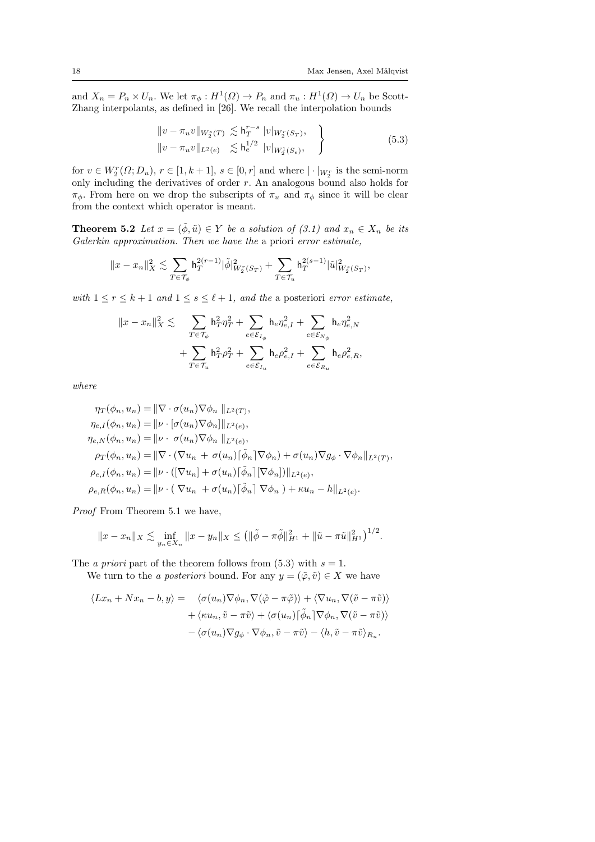and  $X_n = P_n \times U_n$ . We let  $\pi_{\phi}: H^1(\Omega) \to P_n$  and  $\pi_u: H^1(\Omega) \to U_n$  be Scott-Zhang interpolants, as defined in [26]. We recall the interpolation bounds

$$
\|v - \pi_u v\|_{W_2^s(T)} \lesssim h_T^{r-s} |v|_{W_2^r(S_T)},
$$
  

$$
\|v - \pi_u v\|_{L^2(e)} \lesssim h_e^{1/2} |v|_{W_2^1(S_e)},
$$
 (5.3)

for  $v \in W_2^r(\Omega; D_u)$ ,  $r \in [1, k+1]$ ,  $s \in [0, r]$  and where  $|\cdot|_{W_2^r}$  is the semi-norm only including the derivatives of order r. An analogous bound also holds for  $\pi_{\phi}$ . From here on we drop the subscripts of  $\pi_u$  and  $\pi_{\phi}$  since it will be clear from the context which operator is meant.

**Theorem 5.2** Let  $x = (\tilde{\phi}, \tilde{u}) \in Y$  be a solution of (3.1) and  $x_n \in X_n$  be its Galerkin approximation. Then we have the a priori error estimate,

$$
\|x-x_n\|_X^2\lesssim \sum_{T\in\mathcal{T}_\phi} \textbf{h}_T^{2(r-1)} |\tilde{\phi}|_{W_2^r(S_T)}^2+\sum_{T\in\mathcal{T}_u} \textbf{h}_T^{2(s-1)} |\tilde{u}|_{W_2^s(S_T)}^2,
$$

with  $1 \le r \le k+1$  and  $1 \le s \le \ell+1$ , and the a posteriori error estimate,

$$
\begin{aligned}\|x-x_n\|_X^2&\lesssim & \sum_{T\in\mathcal{T}_\phi} \mathsf{h}_T^2\eta_T^2+\sum_{e\in\mathcal{E}_{I_\phi}} \mathsf{h}_e\eta_{e,I}^2+\sum_{e\in\mathcal{E}_{N_\phi}} \mathsf{h}_e\eta_{e,N}^2\\ &+\sum_{T\in\mathcal{T}_u} \mathsf{h}_T^2\rho_T^2+\sum_{e\in\mathcal{E}_{I_u}} \mathsf{h}_e\rho_{e,I}^2+\sum_{e\in\mathcal{E}_{R_u}} \mathsf{h}_e\rho_{e,R}^2,\end{aligned}
$$

where

$$
\eta_T(\phi_n, u_n) = \|\nabla \cdot \sigma(u_n)\nabla \phi_n\|_{L^2(T)},
$$
  
\n
$$
\eta_{e,I}(\phi_n, u_n) = \|\nu \cdot [\sigma(u_n)\nabla \phi_n]\|_{L^2(e)},
$$
  
\n
$$
\eta_{e,N}(\phi_n, u_n) = \|\nu \cdot \sigma(u_n)\nabla \phi_n\|_{L^2(e)},
$$
  
\n
$$
\rho_T(\phi_n, u_n) = \|\nabla \cdot (\nabla u_n + \sigma(u_n)[\tilde{\phi}_n]\nabla \phi_n) + \sigma(u_n)\nabla g_\phi \cdot \nabla \phi_n\|_{L^2(T)},
$$
  
\n
$$
\rho_{e,I}(\phi_n, u_n) = \|\nu \cdot ([\nabla u_n] + \sigma(u_n)[\tilde{\phi}_n][\nabla \phi_n])\|_{L^2(e)},
$$
  
\n
$$
\rho_{e,R}(\phi_n, u_n) = \|\nu \cdot (\nabla u_n + \sigma(u_n)[\tilde{\phi}_n] \nabla \phi_n) + \kappa u_n - h\|_{L^2(e)}.
$$

Proof From Theorem 5.1 we have,

$$
||x - x_n||_X \lesssim \inf_{y_n \in X_n} ||x - y_n||_X \leq (||\tilde{\phi} - \pi \tilde{\phi}||_{H^1}^2 + ||\tilde{u} - \pi \tilde{u}||_{H^1}^2)^{1/2}.
$$

The *a priori* part of the theorem follows from (5.3) with  $s = 1$ . We turn to the *a posteriori* bound. For any  $y = (\tilde{\varphi}, \tilde{v}) \in X$  we have

$$
\langle Lx_n + Nx_n - b, y \rangle = \langle \sigma(u_n) \nabla \phi_n, \nabla(\tilde{\varphi} - \pi \tilde{\varphi}) \rangle + \langle \nabla u_n, \nabla(\tilde{v} - \pi \tilde{v}) \rangle + \langle \kappa u_n, \tilde{v} - \pi \tilde{v} \rangle + \langle \sigma(u_n) [\tilde{\phi}_n] \nabla \phi_n, \nabla(\tilde{v} - \pi \tilde{v}) \rangle - \langle \sigma(u_n) \nabla g_\phi \cdot \nabla \phi_n, \tilde{v} - \pi \tilde{v} \rangle - \langle h, \tilde{v} - \pi \tilde{v} \rangle_{R_u}.
$$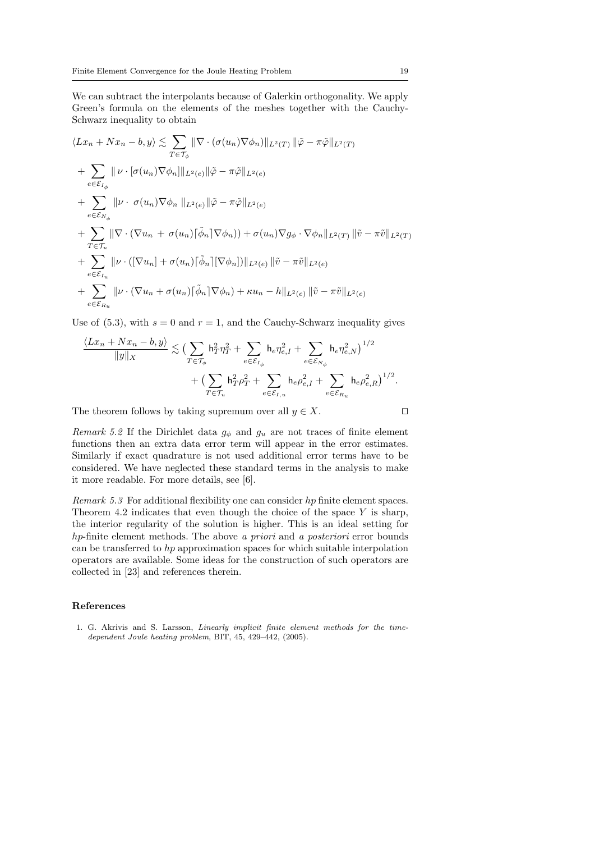We can subtract the interpolants because of Galerkin orthogonality. We apply Green's formula on the elements of the meshes together with the Cauchy-Schwarz inequality to obtain

$$
\langle Lx_n + Nx_n - b, y \rangle \lesssim \sum_{T \in \mathcal{T}_{\phi}} \|\nabla \cdot (\sigma(u_n)\nabla \phi_n)\|_{L^2(T)} \|\tilde{\varphi} - \pi \tilde{\varphi}\|_{L^2(T)}
$$
  
+ 
$$
\sum_{e \in \mathcal{E}_{I_{\phi}}} \|\nu \cdot [\sigma(u_n)\nabla \phi_n]\|_{L^2(e)} \|\tilde{\varphi} - \pi \tilde{\varphi}\|_{L^2(e)}
$$
  
+ 
$$
\sum_{e \in \mathcal{E}_{N_{\phi}}} \|\nu \cdot \sigma(u_n)\nabla \phi_n\|_{L^2(e)} \|\tilde{\varphi} - \pi \tilde{\varphi}\|_{L^2(e)}
$$
  
+ 
$$
\sum_{T \in \mathcal{T}_u} \|\nabla \cdot (\nabla u_n + \sigma(u_n)[\tilde{\phi}_n]\nabla \phi_n)) + \sigma(u_n)\nabla g_{\phi} \cdot \nabla \phi_n\|_{L^2(T)} \|\tilde{v} - \pi \tilde{v}\|_{L^2(T)}
$$
  
+ 
$$
\sum_{e \in \mathcal{E}_{I_u}} \|\nu \cdot ([\nabla u_n] + \sigma(u_n)[\tilde{\phi}_n][\nabla \phi_n])\|_{L^2(e)} \|\tilde{v} - \pi \tilde{v}\|_{L^2(e)}
$$
  
+ 
$$
\sum_{e \in \mathcal{E}_{I_u}} \|\nu \cdot (\nabla u_n + \sigma(u_n)[\tilde{\phi}_n]\nabla \phi_n) + \kappa u_n - h\|_{L^2(e)} \|\tilde{v} - \pi \tilde{v}\|_{L^2(e)}
$$

Use of (5.3), with  $s = 0$  and  $r = 1$ , and the Cauchy-Schwarz inequality gives

$$
\frac{\langle Lx_n + Nx_n - b, y \rangle}{\|y\|_X} \lesssim \left( \sum_{T \in \mathcal{T}_{\phi}} \mathsf{h}_T^2 \eta_T^2 + \sum_{e \in \mathcal{E}_{I_{\phi}}} \mathsf{h}_e \eta_{e,I}^2 + \sum_{e \in \mathcal{E}_{N_{\phi}}} \mathsf{h}_e \eta_{e,N}^2 \right)^{1/2} + \left( \sum_{T \in \mathcal{T}_u} \mathsf{h}_T^2 \rho_T^2 + \sum_{e \in \mathcal{E}_{I,u}} \mathsf{h}_e \rho_{e,I}^2 + \sum_{e \in \mathcal{E}_{R_u}} \mathsf{h}_e \rho_{e,R}^2 \right)^{1/2}.
$$

The theorem follows by taking supremum over all  $y \in X$ .  $\square$ 

Remark 5.2 If the Dirichlet data  $g_{\phi}$  and  $g_u$  are not traces of finite element functions then an extra data error term will appear in the error estimates. Similarly if exact quadrature is not used additional error terms have to be considered. We have neglected these standard terms in the analysis to make it more readable. For more details, see [6].

Remark 5.3 For additional flexibility one can consider hp finite element spaces. Theorem 4.2 indicates that even though the choice of the space  $Y$  is sharp, the interior regularity of the solution is higher. This is an ideal setting for hp-finite element methods. The above a priori and a posteriori error bounds can be transferred to hp approximation spaces for which suitable interpolation operators are available. Some ideas for the construction of such operators are collected in [23] and references therein.

#### References

1. G. Akrivis and S. Larsson, Linearly implicit finite element methods for the timedependent Joule heating problem, BIT, 45, 429–442, (2005).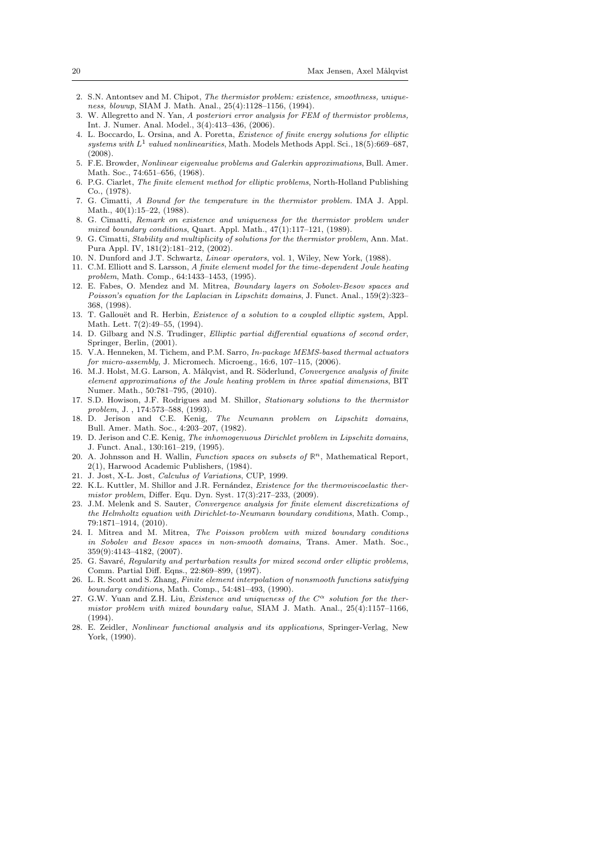- 2. S.N. Antontsev and M. Chipot, The thermistor problem: existence, smoothness, uniqueness, blowup, SIAM J. Math. Anal., 25(4):1128–1156, (1994).
- 3. W. Allegretto and N. Yan, A posteriori error analysis for FEM of thermistor problems, Int. J. Numer. Anal. Model., 3(4):413–436, (2006).
- 4. L. Boccardo, L. Orsina, and A. Poretta, Existence of finite energy solutions for elliptic  $systems\ with\ L^1\ valued\ nonlinearities, Math. \ Models \ Methods\ Appl. Sci., 18(5): 669–687,$ (2008).
- 5. F.E. Browder, Nonlinear eigenvalue problems and Galerkin approximations, Bull. Amer. Math. Soc., 74:651–656, (1968).
- 6. P.G. Ciarlet, The finite element method for elliptic problems, North-Holland Publishing Co., (1978).
- 7. G. Cimatti, A Bound for the temperature in the thermistor problem. IMA J. Appl. Math., 40(1):15–22, (1988).
- 8. G. Cimatti, Remark on existence and uniqueness for the thermistor problem under mixed boundary conditions, Quart. Appl. Math., 47(1):117–121, (1989).
- 9. G. Cimatti, Stability and multiplicity of solutions for the thermistor problem, Ann. Mat. Pura Appl. IV, 181(2):181–212, (2002).
- 10. N. Dunford and J.T. Schwartz, Linear operators, vol. 1, Wiley, New York, (1988).
- 11. C.M. Elliott and S. Larsson, A finite element model for the time-dependent Joule heating problem, Math. Comp., 64:1433–1453, (1995).
- 12. E. Fabes, O. Mendez and M. Mitrea, Boundary layers on Sobolev-Besov spaces and Poisson's equation for the Laplacian in Lipschitz domains, J. Funct. Anal., 159(2):323– 368, (1998).
- 13. T. Gallouët and R. Herbin, *Existence of a solution to a coupled elliptic system*, Appl. Math. Lett. 7(2):49–55, (1994).
- 14. D. Gilbarg and N.S. Trudinger, Elliptic partial differential equations of second order, Springer, Berlin, (2001).
- 15. V.A. Henneken, M. Tichem, and P.M. Sarro, In-package MEMS-based thermal actuators for micro-assembly, J. Micromech. Microeng., 16:6, 107–115, (2006).
- 16. M.J. Holst, M.G. Larson, A. Målqvist, and R. Söderlund, Convergence analysis of finite element approximations of the Joule heating problem in three spatial dimensions, BIT Numer. Math., 50:781–795, (2010).
- 17. S.D. Howison, J.F. Rodrigues and M. Shillor, Stationary solutions to the thermistor problem, J. , 174:573–588, (1993).
- 18. D. Jerison and C.E. Kenig, The Neumann problem on Lipschitz domains, Bull. Amer. Math. Soc., 4:203–207, (1982).
- 19. D. Jerison and C.E. Kenig, The inhomogenuous Dirichlet problem in Lipschitz domains, J. Funct. Anal., 130:161–219, (1995).
- 20. A. Johnsson and H. Wallin, Function spaces on subsets of  $\mathbb{R}^n$ , Mathematical Report, 2(1), Harwood Academic Publishers, (1984).
- 21. J. Jost, X-L. Jost, Calculus of Variations, CUP, 1999.
- 22. K.L. Kuttler, M. Shillor and J.R. Fernández, Existence for the thermoviscoelastic thermistor problem, Differ. Equ. Dyn. Syst. 17(3):217–233, (2009).
- 23. J.M. Melenk and S. Sauter, Convergence analysis for finite element discretizations of the Helmholtz equation with Dirichlet-to-Neumann boundary conditions, Math. Comp., 79:1871–1914, (2010).
- 24. I. Mitrea and M. Mitrea, The Poisson problem with mixed boundary conditions in Sobolev and Besov spaces in non-smooth domains, Trans. Amer. Math. Soc., 359(9):4143–4182, (2007).
- 25. G. Savaré, Regularity and perturbation results for mixed second order elliptic problems, Comm. Partial Diff. Eqns., 22:869–899, (1997).
- 26. L. R. Scott and S. Zhang, Finite element interpolation of nonsmooth functions satisfying boundary conditions, Math. Comp., 54:481–493, (1990).
- 27. G.W. Yuan and Z.H. Liu, Existence and uniqueness of the  $C^{\alpha}$  solution for the thermistor problem with mixed boundary value, SIAM J. Math. Anal., 25(4):1157–1166, (1994).
- 28. E. Zeidler, Nonlinear functional analysis and its applications, Springer-Verlag, New York, (1990).